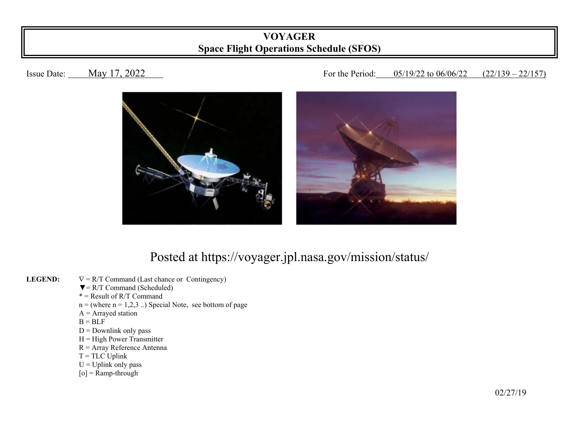## **VOYAGER Space Flight Operations Schedule (SFOS)**

## Issue Date: May 17, 2022 18 19 10 11 12:00 For the Period: 05/19/22 to 06/06/22 (22/139 – 22/157)



## Posted at https://voyager.jpl.nasa.gov/mission/status/

- **LEGEND:**   $\nabla = R/T$  Command (Last chance or Contingency)
	- $\nabla = R/T$  Command (Scheduled)
- $* =$ Result of R/T Command
	- $n =$  (where  $n = 1,2,3$ ...) Special Note, see bottom of page
	- $A =$  Arrayed station
- $B = BLF$ 
	- $D =$  Downlink only pass
	- $H = High Power Transmitter$
	- R = Array Reference Antenna
	- $T = TLC$  Uplink
	- $U = U$ plink only pass
	- $[o]$  = Ramp-through

 $\frac{02}{27/19}$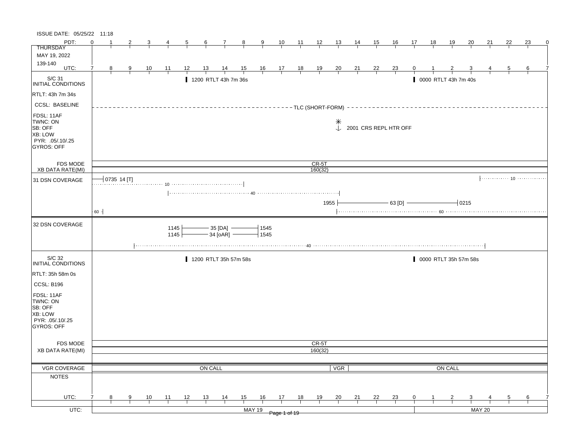| PDT:<br>$\Omega$<br>$\frac{10}{1}$<br>$\frac{12}{ }$<br>$\frac{13}{2}$<br>15<br><u>18</u><br>22<br>23<br>$\frac{11}{1}$<br>$\frac{14}{1}$<br><u> 16</u><br>17<br><u> 19</u><br>20<br>21<br>$\frac{6}{6}$<br>$\frac{7}{ }$<br>$\frac{8}{1}$<br>$\overline{\partial}$<br><b>THURSDAY</b><br>MAY 19, 2022<br>139-140<br>UTC:<br>$\begin{array}{c c}\n16 & 17 \\ \hline\n\end{array}$<br>$\frac{18}{1}$<br>7<br><u> 12 </u><br>$\frac{13}{ }$<br>$\frac{14}{1}$<br>$\frac{15}{1}$<br>$\frac{19}{1}$<br>$\frac{20}{}$<br>$\frac{21}{1}$<br>$\frac{22}{1}$<br>8<br>$\overline{9}$<br>$\frac{10}{1}$<br>$\frac{11}{1}$<br>$\frac{23}{}$<br>5<br>$\vert_{\hspace{-.15cm} \text{INITIAL CONDITIONS}}$<br>0000 RTLT 43h 7m 40s<br>1200 RTLT 43h 7m 36s<br><b>CCSL: BASELINE</b><br>$---TLC$ (SHORT-FORM) -<br>$\downarrow$<br>2001 CRS REPL HTR OFF<br>PYR: .05/.10/.25<br>FDS MODE<br>$CR-5T$<br>XB DATA RATE(MI)<br>160(32)<br>$ 0735 14$ [T]<br>31 DSN COVERAGE<br>$63$ [D] $\longrightarrow$<br>$-0215$<br>1955<br>60<br>32 DSN COVERAGE<br>1145<br>$-35$ [DA] $-$<br>1545<br>$-34$ [oAR] $-$<br>1145<br>$+1545$<br>S/C 32<br>1200 RTLT 35h 57m 58s<br>0000 RTLT 35h 57m 58s<br>CCSL: B196<br>PYR: .05/.10/.25<br>FDS MODE<br>CR-5T<br>160(32)<br><b>XB DATA RATE(MI)</b><br>VGR COVERAGE<br>ON CALL<br>ON CALL<br><b>VGR</b><br><b>NOTES</b><br>UTC:<br>13<br>$\frac{14}{1}$<br>15<br>16<br>$\frac{17}{2}$<br>18<br>$\frac{10}{1}$<br>$\frac{11}{1}$<br>$\frac{12}{ }$<br><u>19</u><br>$\frac{20}{}$<br>$\frac{21}{1}$<br>$\frac{22}{1}$<br>$\frac{23}{1}$<br>8<br>9<br>$\mathbf{0}$<br>$\frac{5}{1}$<br>$\overline{2}$<br>$\frac{6}{1}$<br><b>MAY 20</b><br>$UTC$ :<br><b>MAY 19</b><br>Page 1 of 19 | ISSUE DATE: 05/25/22 11:18                                        |  |  |  |  |  |  |  |  |  |  |  |  |  |
|--------------------------------------------------------------------------------------------------------------------------------------------------------------------------------------------------------------------------------------------------------------------------------------------------------------------------------------------------------------------------------------------------------------------------------------------------------------------------------------------------------------------------------------------------------------------------------------------------------------------------------------------------------------------------------------------------------------------------------------------------------------------------------------------------------------------------------------------------------------------------------------------------------------------------------------------------------------------------------------------------------------------------------------------------------------------------------------------------------------------------------------------------------------------------------------------------------------------------------------------------------------------------------------------------------------------------------------------------------------------------------------------------------------------------------------------------------------------------------------------------------------------------------------------------------------------------------------------------------------------------------------------------------------------------------------------------|-------------------------------------------------------------------|--|--|--|--|--|--|--|--|--|--|--|--|--|
|                                                                                                                                                                                                                                                                                                                                                                                                                                                                                                                                                                                                                                                                                                                                                                                                                                                                                                                                                                                                                                                                                                                                                                                                                                                                                                                                                                                                                                                                                                                                                                                                                                                                                                  |                                                                   |  |  |  |  |  |  |  |  |  |  |  |  |  |
|                                                                                                                                                                                                                                                                                                                                                                                                                                                                                                                                                                                                                                                                                                                                                                                                                                                                                                                                                                                                                                                                                                                                                                                                                                                                                                                                                                                                                                                                                                                                                                                                                                                                                                  |                                                                   |  |  |  |  |  |  |  |  |  |  |  |  |  |
|                                                                                                                                                                                                                                                                                                                                                                                                                                                                                                                                                                                                                                                                                                                                                                                                                                                                                                                                                                                                                                                                                                                                                                                                                                                                                                                                                                                                                                                                                                                                                                                                                                                                                                  |                                                                   |  |  |  |  |  |  |  |  |  |  |  |  |  |
|                                                                                                                                                                                                                                                                                                                                                                                                                                                                                                                                                                                                                                                                                                                                                                                                                                                                                                                                                                                                                                                                                                                                                                                                                                                                                                                                                                                                                                                                                                                                                                                                                                                                                                  |                                                                   |  |  |  |  |  |  |  |  |  |  |  |  |  |
|                                                                                                                                                                                                                                                                                                                                                                                                                                                                                                                                                                                                                                                                                                                                                                                                                                                                                                                                                                                                                                                                                                                                                                                                                                                                                                                                                                                                                                                                                                                                                                                                                                                                                                  |                                                                   |  |  |  |  |  |  |  |  |  |  |  |  |  |
|                                                                                                                                                                                                                                                                                                                                                                                                                                                                                                                                                                                                                                                                                                                                                                                                                                                                                                                                                                                                                                                                                                                                                                                                                                                                                                                                                                                                                                                                                                                                                                                                                                                                                                  |                                                                   |  |  |  |  |  |  |  |  |  |  |  |  |  |
|                                                                                                                                                                                                                                                                                                                                                                                                                                                                                                                                                                                                                                                                                                                                                                                                                                                                                                                                                                                                                                                                                                                                                                                                                                                                                                                                                                                                                                                                                                                                                                                                                                                                                                  | RTLT: 43h 7m 34s                                                  |  |  |  |  |  |  |  |  |  |  |  |  |  |
|                                                                                                                                                                                                                                                                                                                                                                                                                                                                                                                                                                                                                                                                                                                                                                                                                                                                                                                                                                                                                                                                                                                                                                                                                                                                                                                                                                                                                                                                                                                                                                                                                                                                                                  |                                                                   |  |  |  |  |  |  |  |  |  |  |  |  |  |
|                                                                                                                                                                                                                                                                                                                                                                                                                                                                                                                                                                                                                                                                                                                                                                                                                                                                                                                                                                                                                                                                                                                                                                                                                                                                                                                                                                                                                                                                                                                                                                                                                                                                                                  | FDSL: 11AF<br>TWNC: ON<br>SB: OFF<br>XB: LOW<br><b>GYROS: OFF</b> |  |  |  |  |  |  |  |  |  |  |  |  |  |
|                                                                                                                                                                                                                                                                                                                                                                                                                                                                                                                                                                                                                                                                                                                                                                                                                                                                                                                                                                                                                                                                                                                                                                                                                                                                                                                                                                                                                                                                                                                                                                                                                                                                                                  |                                                                   |  |  |  |  |  |  |  |  |  |  |  |  |  |
|                                                                                                                                                                                                                                                                                                                                                                                                                                                                                                                                                                                                                                                                                                                                                                                                                                                                                                                                                                                                                                                                                                                                                                                                                                                                                                                                                                                                                                                                                                                                                                                                                                                                                                  |                                                                   |  |  |  |  |  |  |  |  |  |  |  |  |  |
|                                                                                                                                                                                                                                                                                                                                                                                                                                                                                                                                                                                                                                                                                                                                                                                                                                                                                                                                                                                                                                                                                                                                                                                                                                                                                                                                                                                                                                                                                                                                                                                                                                                                                                  |                                                                   |  |  |  |  |  |  |  |  |  |  |  |  |  |
|                                                                                                                                                                                                                                                                                                                                                                                                                                                                                                                                                                                                                                                                                                                                                                                                                                                                                                                                                                                                                                                                                                                                                                                                                                                                                                                                                                                                                                                                                                                                                                                                                                                                                                  |                                                                   |  |  |  |  |  |  |  |  |  |  |  |  |  |
|                                                                                                                                                                                                                                                                                                                                                                                                                                                                                                                                                                                                                                                                                                                                                                                                                                                                                                                                                                                                                                                                                                                                                                                                                                                                                                                                                                                                                                                                                                                                                                                                                                                                                                  |                                                                   |  |  |  |  |  |  |  |  |  |  |  |  |  |
|                                                                                                                                                                                                                                                                                                                                                                                                                                                                                                                                                                                                                                                                                                                                                                                                                                                                                                                                                                                                                                                                                                                                                                                                                                                                                                                                                                                                                                                                                                                                                                                                                                                                                                  |                                                                   |  |  |  |  |  |  |  |  |  |  |  |  |  |
|                                                                                                                                                                                                                                                                                                                                                                                                                                                                                                                                                                                                                                                                                                                                                                                                                                                                                                                                                                                                                                                                                                                                                                                                                                                                                                                                                                                                                                                                                                                                                                                                                                                                                                  |                                                                   |  |  |  |  |  |  |  |  |  |  |  |  |  |
|                                                                                                                                                                                                                                                                                                                                                                                                                                                                                                                                                                                                                                                                                                                                                                                                                                                                                                                                                                                                                                                                                                                                                                                                                                                                                                                                                                                                                                                                                                                                                                                                                                                                                                  |                                                                   |  |  |  |  |  |  |  |  |  |  |  |  |  |
|                                                                                                                                                                                                                                                                                                                                                                                                                                                                                                                                                                                                                                                                                                                                                                                                                                                                                                                                                                                                                                                                                                                                                                                                                                                                                                                                                                                                                                                                                                                                                                                                                                                                                                  | <b>INITIAL CONDITIONS</b>                                         |  |  |  |  |  |  |  |  |  |  |  |  |  |
|                                                                                                                                                                                                                                                                                                                                                                                                                                                                                                                                                                                                                                                                                                                                                                                                                                                                                                                                                                                                                                                                                                                                                                                                                                                                                                                                                                                                                                                                                                                                                                                                                                                                                                  | RTLT: 35h 58m 0s                                                  |  |  |  |  |  |  |  |  |  |  |  |  |  |
|                                                                                                                                                                                                                                                                                                                                                                                                                                                                                                                                                                                                                                                                                                                                                                                                                                                                                                                                                                                                                                                                                                                                                                                                                                                                                                                                                                                                                                                                                                                                                                                                                                                                                                  |                                                                   |  |  |  |  |  |  |  |  |  |  |  |  |  |
|                                                                                                                                                                                                                                                                                                                                                                                                                                                                                                                                                                                                                                                                                                                                                                                                                                                                                                                                                                                                                                                                                                                                                                                                                                                                                                                                                                                                                                                                                                                                                                                                                                                                                                  | FDSL: 11AF<br>TWNC: ON<br>SB: OFF<br>XB: LOW<br><b>GYROS: OFF</b> |  |  |  |  |  |  |  |  |  |  |  |  |  |
|                                                                                                                                                                                                                                                                                                                                                                                                                                                                                                                                                                                                                                                                                                                                                                                                                                                                                                                                                                                                                                                                                                                                                                                                                                                                                                                                                                                                                                                                                                                                                                                                                                                                                                  |                                                                   |  |  |  |  |  |  |  |  |  |  |  |  |  |
|                                                                                                                                                                                                                                                                                                                                                                                                                                                                                                                                                                                                                                                                                                                                                                                                                                                                                                                                                                                                                                                                                                                                                                                                                                                                                                                                                                                                                                                                                                                                                                                                                                                                                                  |                                                                   |  |  |  |  |  |  |  |  |  |  |  |  |  |
|                                                                                                                                                                                                                                                                                                                                                                                                                                                                                                                                                                                                                                                                                                                                                                                                                                                                                                                                                                                                                                                                                                                                                                                                                                                                                                                                                                                                                                                                                                                                                                                                                                                                                                  |                                                                   |  |  |  |  |  |  |  |  |  |  |  |  |  |
|                                                                                                                                                                                                                                                                                                                                                                                                                                                                                                                                                                                                                                                                                                                                                                                                                                                                                                                                                                                                                                                                                                                                                                                                                                                                                                                                                                                                                                                                                                                                                                                                                                                                                                  |                                                                   |  |  |  |  |  |  |  |  |  |  |  |  |  |
|                                                                                                                                                                                                                                                                                                                                                                                                                                                                                                                                                                                                                                                                                                                                                                                                                                                                                                                                                                                                                                                                                                                                                                                                                                                                                                                                                                                                                                                                                                                                                                                                                                                                                                  |                                                                   |  |  |  |  |  |  |  |  |  |  |  |  |  |
|                                                                                                                                                                                                                                                                                                                                                                                                                                                                                                                                                                                                                                                                                                                                                                                                                                                                                                                                                                                                                                                                                                                                                                                                                                                                                                                                                                                                                                                                                                                                                                                                                                                                                                  |                                                                   |  |  |  |  |  |  |  |  |  |  |  |  |  |
|                                                                                                                                                                                                                                                                                                                                                                                                                                                                                                                                                                                                                                                                                                                                                                                                                                                                                                                                                                                                                                                                                                                                                                                                                                                                                                                                                                                                                                                                                                                                                                                                                                                                                                  |                                                                   |  |  |  |  |  |  |  |  |  |  |  |  |  |
|                                                                                                                                                                                                                                                                                                                                                                                                                                                                                                                                                                                                                                                                                                                                                                                                                                                                                                                                                                                                                                                                                                                                                                                                                                                                                                                                                                                                                                                                                                                                                                                                                                                                                                  |                                                                   |  |  |  |  |  |  |  |  |  |  |  |  |  |
|                                                                                                                                                                                                                                                                                                                                                                                                                                                                                                                                                                                                                                                                                                                                                                                                                                                                                                                                                                                                                                                                                                                                                                                                                                                                                                                                                                                                                                                                                                                                                                                                                                                                                                  |                                                                   |  |  |  |  |  |  |  |  |  |  |  |  |  |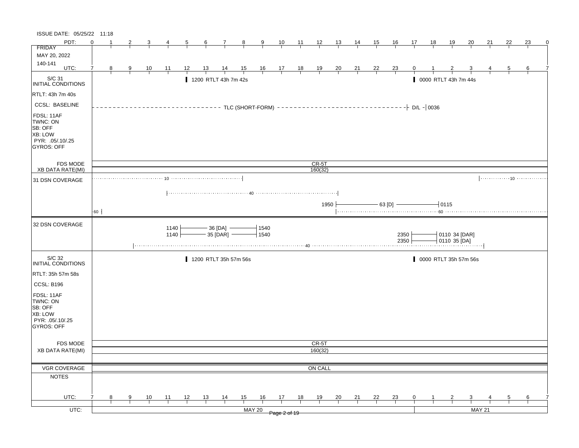| ISSUE DATE: 05/25/22 11:18                                                            |          |                |   |                |              |                |                 |                               |                |                                                                      |                |                |                |                |                |                 |                |                    |    |                               |           |               |                |    |
|---------------------------------------------------------------------------------------|----------|----------------|---|----------------|--------------|----------------|-----------------|-------------------------------|----------------|----------------------------------------------------------------------|----------------|----------------|----------------|----------------|----------------|-----------------|----------------|--------------------|----|-------------------------------|-----------|---------------|----------------|----|
| PDT:                                                                                  | $\Omega$ |                |   | 3              | 4            | $\overline{5}$ | $6\overline{6}$ | $\overline{7}$                | $\frac{8}{1}$  | $\overline{9}$                                                       | $\frac{10}{1}$ | $\frac{11}{1}$ | $\frac{12}{ }$ | 13             | <u>14</u>      | <u>15</u>       | <u>16</u>      | 17                 | 18 | <u>19</u>                     | <u>20</u> | 21            | 22             | 23 |
| FRIDAY                                                                                |          |                |   |                |              |                |                 |                               |                |                                                                      |                |                |                |                |                |                 |                |                    |    |                               |           |               |                |    |
| MAY 20, 2022                                                                          |          |                |   |                |              |                |                 |                               |                |                                                                      |                |                |                |                |                |                 |                |                    |    |                               |           |               |                |    |
| 140-141<br>UTC:                                                                       | 7        |                |   |                |              |                |                 |                               |                |                                                                      |                |                |                |                |                |                 |                |                    |    |                               |           |               |                |    |
|                                                                                       |          | 8 <sup>8</sup> | 9 | $\frac{10}{1}$ | 11           | 12             | <u>13</u>       | $\frac{14}{1}$                | $\frac{15}{1}$ | $\begin{array}{c cc} 16 & 17 & 18 \\ \hline &   &   &   \end{array}$ |                |                | $\frac{19}{1}$ | $\frac{20}{1}$ | $\frac{21}{1}$ | $\frac{22}{1}$  | $\frac{23}{1}$ | $\mathbf{0}$       |    |                               |           |               | $\overline{5}$ | 6  |
| S/C 31<br>INITIAL CONDITIONS                                                          |          |                |   |                |              |                |                 | 1200 RTLT 43h 7m 42s          |                |                                                                      |                |                |                |                |                |                 |                |                    |    | 0000 RTLT 43h 7m 44s          |           |               |                |    |
| RTLT: 43h 7m 40s                                                                      |          |                |   |                |              |                |                 |                               |                |                                                                      |                |                |                |                |                |                 |                |                    |    |                               |           |               |                |    |
| <b>CCSL: BASELINE</b>                                                                 |          |                |   |                |              |                |                 |                               |                | - TLC (SHORT-FORM) -                                                 |                |                |                |                |                | $-$ - - - - - - |                | $- -$ D/L $-$ 0036 |    |                               |           |               |                |    |
| FDSL: 11AF<br>TWNC: ON<br>SB: OFF<br>XB: LOW<br>PYR: .05/.10/.25<br><b>GYROS: OFF</b> |          |                |   |                |              |                |                 |                               |                |                                                                      |                |                |                |                |                |                 |                |                    |    |                               |           |               |                |    |
| FDS MODE                                                                              |          |                |   |                |              |                |                 |                               |                |                                                                      |                |                | $CR-5T$        |                |                |                 |                |                    |    |                               |           |               |                |    |
| <b>XB DATA RATE(MI)</b>                                                               |          |                |   |                |              |                |                 |                               |                |                                                                      |                |                | 160(32)        |                |                |                 |                |                    |    |                               |           |               |                |    |
| 31 DSN COVERAGE                                                                       |          |                |   |                |              |                |                 |                               |                |                                                                      |                |                |                |                |                |                 |                |                    |    |                               |           |               |                |    |
|                                                                                       |          |                |   |                |              |                |                 |                               |                |                                                                      |                |                |                |                |                |                 |                |                    |    |                               |           |               |                |    |
|                                                                                       |          |                |   |                |              |                |                 |                               |                |                                                                      |                |                | 1950           |                |                |                 | $-$ 63 [D] $-$ |                    |    | 10115                         |           |               |                |    |
|                                                                                       | 60 -     |                |   |                |              |                |                 |                               |                |                                                                      |                |                |                |                |                |                 |                |                    |    |                               |           |               |                |    |
|                                                                                       |          |                |   |                |              |                |                 |                               |                |                                                                      |                |                |                |                |                |                 |                |                    |    |                               |           |               |                |    |
| 32 DSN COVERAGE                                                                       |          |                |   |                | 1140<br>1140 |                |                 | — 36 [DA]  —<br>– 35 [DAR]  — |                | 1540<br>1540                                                         |                |                |                |                |                |                 | 2350<br>2350   |                    |    | 0110 34 [DAR]<br>0110 35 [DA] |           |               |                |    |
|                                                                                       |          |                |   |                |              |                |                 |                               |                |                                                                      |                |                |                |                |                |                 |                |                    |    |                               |           |               |                |    |
| S/C 32<br>INITIAL CONDITIONS                                                          |          |                |   |                |              |                |                 | 1200 RTLT 35h 57m 56s         |                |                                                                      |                |                |                |                |                |                 |                |                    |    | 0000 RTLT 35h 57m 56s         |           |               |                |    |
| RTLT: 35h 57m 58s                                                                     |          |                |   |                |              |                |                 |                               |                |                                                                      |                |                |                |                |                |                 |                |                    |    |                               |           |               |                |    |
| CCSL: B196                                                                            |          |                |   |                |              |                |                 |                               |                |                                                                      |                |                |                |                |                |                 |                |                    |    |                               |           |               |                |    |
| FDSL: 11AF<br>TWNC: ON<br>SB: OFF<br>XB: LOW<br>PYR: .05/.10/.25<br><b>GYROS: OFF</b> |          |                |   |                |              |                |                 |                               |                |                                                                      |                |                |                |                |                |                 |                |                    |    |                               |           |               |                |    |
| FDS MODE                                                                              |          |                |   |                |              |                |                 |                               |                |                                                                      |                |                | CR-5T          |                |                |                 |                |                    |    |                               |           |               |                |    |
| XB DATA RATE(MI)                                                                      |          |                |   |                |              |                |                 |                               |                |                                                                      |                |                | 160(32)        |                |                |                 |                |                    |    |                               |           |               |                |    |
|                                                                                       |          |                |   |                |              |                |                 |                               |                |                                                                      |                |                |                |                |                |                 |                |                    |    |                               |           |               |                |    |
| VGR COVERAGE                                                                          |          |                |   |                |              |                |                 |                               |                |                                                                      |                |                | ON CALL        |                |                |                 |                |                    |    |                               |           |               |                |    |
| <b>NOTES</b>                                                                          |          |                |   |                |              |                |                 |                               |                |                                                                      |                |                |                |                |                |                 |                |                    |    |                               |           |               |                |    |
|                                                                                       |          |                |   |                |              |                |                 |                               |                |                                                                      |                |                |                |                |                |                 |                |                    |    |                               |           |               |                |    |
|                                                                                       |          |                |   |                |              |                |                 |                               |                |                                                                      |                |                |                |                |                |                 |                |                    |    |                               |           |               |                |    |
| UTC:                                                                                  |          | 8              | 9 | 10             | 11           | 12             | 13              | $\frac{14}{1}$                | 15             | 16                                                                   | 17             | 18             | 19             | 20             | 21             | 22              | 23             | 0                  |    | 2                             | 3         |               | 5              | 6  |
| $UTC$ :                                                                               |          |                |   |                |              |                |                 |                               |                | <b>MAY 20</b>                                                        | Page 2 of 19   |                |                |                |                |                 |                |                    |    |                               |           | <b>MAY 21</b> |                |    |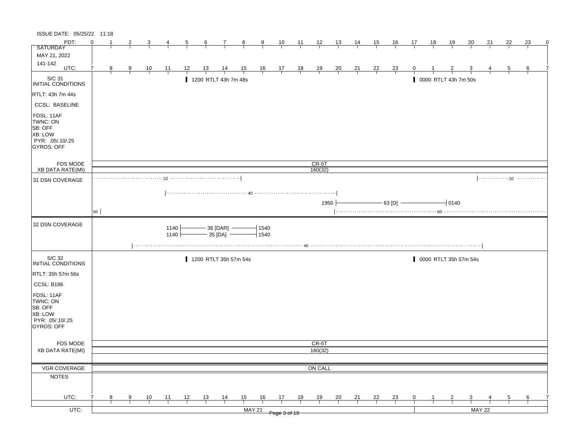| ISSUE DATE: 05/25/22 11:18                                                                   |                |                |                |                |                  |                |                |                               |               |                                                                      |    |       |                |                |                 |                |                |    |           |                      |                       |    |    |    |   |
|----------------------------------------------------------------------------------------------|----------------|----------------|----------------|----------------|------------------|----------------|----------------|-------------------------------|---------------|----------------------------------------------------------------------|----|-------|----------------|----------------|-----------------|----------------|----------------|----|-----------|----------------------|-----------------------|----|----|----|---|
| PDT:                                                                                         | $\Omega$       |                | $\overline{2}$ | 3              | 4                | $\overline{5}$ | 6              | $\overline{7}$                | 8             | 9                                                                    | 10 | $-11$ | $\frac{12}{ }$ | <u> 13  </u>   | $\overline{14}$ | <u>_15_</u>    | 16             | 17 | <u>18</u> | <u> 19</u>           | 20                    | 21 | 22 | 23 | 0 |
| <b>SATURDAY</b>                                                                              |                |                |                |                |                  |                |                |                               |               |                                                                      |    |       |                |                |                 |                |                |    |           |                      |                       |    |    |    |   |
| MAY 21, 2022                                                                                 |                |                |                |                |                  |                |                |                               |               |                                                                      |    |       |                |                |                 |                |                |    |           |                      |                       |    |    |    |   |
| 141-142<br>UTC:                                                                              | $\overline{7}$ | 8 <sup>8</sup> |                |                |                  | 12             | <u>13</u>      | $\frac{14}{1}$                |               |                                                                      |    |       |                |                |                 |                |                |    |           |                      |                       |    | 5  | 6  |   |
|                                                                                              |                |                | $\frac{9}{1}$  | $\frac{10}{1}$ | $\frac{11}{1}$   |                |                |                               |               | $\begin{array}{ccccccccc}\n15 & 16 & 17 & 18 \\ \hline\n\end{array}$ |    |       | $\frac{19}{1}$ | $\frac{20}{1}$ | $\frac{21}{1}$  | $\frac{22}{1}$ | $\frac{23}{1}$ |    |           |                      |                       |    |    |    |   |
| S/C 31<br>INITIAL CONDITIONS                                                                 |                |                |                |                |                  |                |                | 1200 RTLT 43h 7m 48s          |               |                                                                      |    |       |                |                |                 |                |                |    |           | 0000 RTLT 43h 7m 50s |                       |    |    |    |   |
| RTLT: 43h 7m 44s                                                                             |                |                |                |                |                  |                |                |                               |               |                                                                      |    |       |                |                |                 |                |                |    |           |                      |                       |    |    |    |   |
| <b>CCSL: BASELINE</b>                                                                        |                |                |                |                |                  |                |                |                               |               |                                                                      |    |       |                |                |                 |                |                |    |           |                      |                       |    |    |    |   |
| FDSL: 11AF<br>TWNC: ON<br>SB: OFF<br>XB: LOW<br>PYR: 05/.10/.25<br>GYROS: OFF                |                |                |                |                |                  |                |                |                               |               |                                                                      |    |       |                |                |                 |                |                |    |           |                      |                       |    |    |    |   |
| <b>FDS MODE</b>                                                                              |                |                |                |                |                  |                |                |                               |               |                                                                      |    |       | CR-5T          |                |                 |                |                |    |           |                      |                       |    |    |    |   |
| XB DATA RATE(MI)                                                                             |                |                |                |                |                  |                |                |                               |               |                                                                      |    |       | 160(32)        |                |                 |                |                |    |           |                      |                       |    |    |    |   |
| 31 DSN COVERAGE                                                                              |                |                |                | . 10           |                  |                |                |                               |               |                                                                      |    |       |                |                |                 |                |                |    |           |                      |                       |    |    |    |   |
|                                                                                              | 60             |                |                |                |                  |                |                |                               |               |                                                                      |    |       | 1950           |                |                 |                | $-63$ [D] $-$  |    |           | $-10140$             |                       |    |    |    |   |
|                                                                                              |                |                |                |                |                  |                |                |                               |               |                                                                      |    |       |                |                |                 |                |                |    |           |                      |                       |    |    |    |   |
|                                                                                              |                |                |                |                |                  |                |                |                               |               |                                                                      |    |       |                |                |                 |                |                |    |           |                      |                       |    |    |    |   |
| 32 DSN COVERAGE                                                                              |                |                |                |                | 1140<br>$1140 +$ |                |                | — 36 [DAR]  —<br>— 35 [DA]  — |               | 1540<br>1540                                                         |    |       |                |                |                 |                |                |    |           |                      |                       |    |    |    |   |
|                                                                                              |                |                |                |                |                  |                |                |                               |               |                                                                      |    |       |                |                |                 |                |                |    |           |                      |                       |    |    |    |   |
| S/C 32<br>INITIAL CONDITIONS                                                                 |                |                |                |                |                  |                |                | 1200 RTLT 35h 57m 54s         |               |                                                                      |    |       |                |                |                 |                |                |    |           |                      | 0000 RTLT 35h 57m 54s |    |    |    |   |
| RTLT: 35h 57m 56s                                                                            |                |                |                |                |                  |                |                |                               |               |                                                                      |    |       |                |                |                 |                |                |    |           |                      |                       |    |    |    |   |
|                                                                                              |                |                |                |                |                  |                |                |                               |               |                                                                      |    |       |                |                |                 |                |                |    |           |                      |                       |    |    |    |   |
| CCSL: B196<br>FDSL: 11AF<br>TWNC: ON<br>SB: OFF<br>XB: LOW<br>PYR: .05/.10/.25<br>GYROS: OFF |                |                |                |                |                  |                |                |                               |               |                                                                      |    |       |                |                |                 |                |                |    |           |                      |                       |    |    |    |   |
|                                                                                              |                |                |                |                |                  |                |                |                               |               |                                                                      |    |       |                |                |                 |                |                |    |           |                      |                       |    |    |    |   |
| <b>FDS MODE</b>                                                                              |                |                |                |                |                  |                |                |                               |               |                                                                      |    |       | CR-5T          |                |                 |                |                |    |           |                      |                       |    |    |    |   |
| <b>XB DATA RATE(MI)</b>                                                                      |                |                |                |                |                  |                |                |                               |               |                                                                      |    |       | 160(32)        |                |                 |                |                |    |           |                      |                       |    |    |    |   |
|                                                                                              |                |                |                |                |                  |                |                |                               |               |                                                                      |    |       |                |                |                 |                |                |    |           |                      |                       |    |    |    |   |
| VGR COVERAGE                                                                                 |                |                |                |                |                  |                |                |                               |               |                                                                      |    |       | ON CALL        |                |                 |                |                |    |           |                      |                       |    |    |    |   |
| <b>NOTES</b>                                                                                 |                |                |                |                |                  |                |                |                               |               |                                                                      |    |       |                |                |                 |                |                |    |           |                      |                       |    |    |    |   |
| UTC:                                                                                         | 7              | 8              | 9              | 10             | 11               | 12             | $\frac{13}{2}$ |                               | 15            | 16                                                                   | 17 | 18    | 19             | 20             | 21              | 22             |                | 0  |           | 2                    | 3                     |    | 5  | 6  |   |
| $UTC$ :                                                                                      |                |                |                |                |                  |                |                | $\frac{14}{1}$                | <b>MAY 21</b> |                                                                      |    |       |                |                |                 |                | $\frac{23}{1}$ |    |           |                      | <b>MAY 22</b>         |    |    |    |   |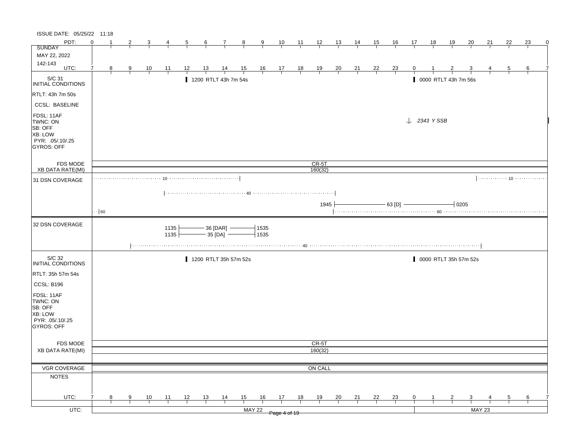| ISSUE DATE: 05/25/22 11:18                                                            |                       |                |               |                |                |    |                 |                              |                |                |                                              |                |                |                |                |                |                             |                        |              |                               |           |               |                |    |   |
|---------------------------------------------------------------------------------------|-----------------------|----------------|---------------|----------------|----------------|----|-----------------|------------------------------|----------------|----------------|----------------------------------------------|----------------|----------------|----------------|----------------|----------------|-----------------------------|------------------------|--------------|-------------------------------|-----------|---------------|----------------|----|---|
| PDT:                                                                                  | $\Omega$              | -1             | 2             | 3              | 4              | 5  | $6\overline{6}$ | 7                            | 8              | $\overline{9}$ | 10                                           | $\frac{11}{2}$ | $\frac{12}{ }$ | 13             | <u>14</u>      | <u>15</u>      | <u>16</u>                   | 17                     | 18           | 19                            | <u>20</u> | 21            | 22             | 23 | 0 |
| SUNDAY                                                                                |                       |                |               |                |                |    |                 |                              |                |                |                                              |                |                |                |                |                |                             |                        |              |                               |           |               |                |    |   |
| MAY 22, 2022                                                                          |                       |                |               |                |                |    |                 |                              |                |                |                                              |                |                |                |                |                |                             |                        |              |                               |           |               |                |    |   |
| 142-143<br>UTC:                                                                       |                       |                |               |                |                |    |                 |                              |                |                |                                              |                |                |                |                |                |                             |                        |              |                               |           |               |                |    |   |
|                                                                                       | 7                     | 8 <sup>8</sup> | $\frac{9}{1}$ | $\frac{10}{1}$ | $\frac{11}{1}$ | 12 | $\frac{13}{2}$  | $\frac{14}{1}$               | $\frac{15}{1}$ |                | $\frac{16}{1}$ $\frac{17}{1}$ $\frac{18}{1}$ |                | $\frac{19}{1}$ | $\frac{20}{1}$ | $\frac{21}{1}$ | $\frac{22}{1}$ | $\frac{23}{1}$              | 0                      |              |                               |           |               | $\overline{5}$ | 6  |   |
| S/C 31<br>INITIAL CONDITIONS                                                          |                       |                |               |                |                |    |                 | 1200 RTLT 43h 7m 54s         |                |                |                                              |                |                |                |                |                |                             |                        |              | 0000 RTLT 43h 7m 56s          |           |               |                |    |   |
| RTLT: 43h 7m 50s                                                                      |                       |                |               |                |                |    |                 |                              |                |                |                                              |                |                |                |                |                |                             |                        |              |                               |           |               |                |    |   |
| <b>CCSL: BASELINE</b>                                                                 |                       |                |               |                |                |    |                 |                              |                |                |                                              |                |                |                |                |                |                             |                        |              |                               |           |               |                |    |   |
| FDSL: 11AF<br>TWNC: ON<br>SB: OFF<br>XB: LOW<br>PYR: .05/.10/.25<br><b>GYROS: OFF</b> |                       |                |               |                |                |    |                 |                              |                |                |                                              |                |                |                |                |                |                             | $\downarrow$ 2343 YSSB |              |                               |           |               |                |    |   |
| <b>FDS MODE</b>                                                                       |                       |                |               |                |                |    |                 |                              |                |                |                                              |                | $CR-5T$        |                |                |                |                             |                        |              |                               |           |               |                |    |   |
| XB DATA RATE(MI)                                                                      |                       |                |               |                |                |    |                 |                              |                |                |                                              |                | 160(32)        |                |                |                |                             |                        |              |                               |           |               |                |    |   |
| 31 DSN COVERAGE                                                                       |                       |                |               | 10             |                |    |                 |                              |                |                |                                              |                |                |                |                |                |                             |                        |              |                               |           |               |                |    |   |
|                                                                                       |                       |                |               |                |                |    |                 |                              |                |                |                                              |                |                |                |                |                |                             |                        |              |                               |           |               |                |    |   |
|                                                                                       |                       |                |               |                |                |    |                 |                              |                |                |                                              |                | 1945           |                |                |                | $-63$ [D] $\longrightarrow$ |                        |              | $\overline{\phantom{0}}$ 0205 |           |               |                |    |   |
|                                                                                       | $\cdot \cdot \mid 60$ |                |               |                |                |    |                 |                              |                |                |                                              |                |                |                |                |                |                             |                        |              |                               |           |               |                |    |   |
|                                                                                       |                       |                |               |                |                |    |                 |                              |                |                |                                              |                |                |                |                |                |                             |                        |              |                               |           |               |                |    |   |
| 32 DSN COVERAGE                                                                       |                       |                |               |                | 1135<br>1135   |    |                 | $-36$ [DAR] $-$<br>- 35 [DA] |                | 1535<br>1535   |                                              |                |                |                |                |                |                             |                        |              |                               |           |               |                |    |   |
|                                                                                       |                       |                |               |                |                |    |                 |                              |                |                |                                              |                |                |                |                |                |                             |                        |              |                               |           |               |                |    |   |
| S/C 32<br>INITIAL CONDITIONS                                                          |                       |                |               |                |                |    |                 | 1200 RTLT 35h 57m 52s        |                |                |                                              |                |                |                |                |                |                             |                        |              | 0000 RTLT 35h 57m 52s         |           |               |                |    |   |
| RTLT: 35h 57m 54s                                                                     |                       |                |               |                |                |    |                 |                              |                |                |                                              |                |                |                |                |                |                             |                        |              |                               |           |               |                |    |   |
| CCSL: B196                                                                            |                       |                |               |                |                |    |                 |                              |                |                |                                              |                |                |                |                |                |                             |                        |              |                               |           |               |                |    |   |
| FDSL: 11AF<br>TWNC: ON<br>SB: OFF<br>XB: LOW<br>PYR: .05/.10/.25<br>GYROS: OFF        |                       |                |               |                |                |    |                 |                              |                |                |                                              |                |                |                |                |                |                             |                        |              |                               |           |               |                |    |   |
| FDS MODE                                                                              |                       |                |               |                |                |    |                 |                              |                |                |                                              |                | CR-5T          |                |                |                |                             |                        |              |                               |           |               |                |    |   |
| <b>XB DATA RATE(MI)</b>                                                               |                       |                |               |                |                |    |                 |                              |                |                |                                              |                | 160(32)        |                |                |                |                             |                        |              |                               |           |               |                |    |   |
|                                                                                       |                       |                |               |                |                |    |                 |                              |                |                |                                              |                |                |                |                |                |                             |                        |              |                               |           |               |                |    |   |
| VGR COVERAGE                                                                          |                       |                |               |                |                |    |                 |                              |                |                |                                              |                | ON CALL        |                |                |                |                             |                        |              |                               |           |               |                |    |   |
| <b>NOTES</b>                                                                          |                       |                |               |                |                |    |                 |                              |                |                |                                              |                |                |                |                |                |                             |                        |              |                               |           |               |                |    |   |
|                                                                                       |                       |                |               |                |                |    |                 |                              |                |                |                                              |                |                |                |                |                |                             |                        |              |                               |           |               |                |    |   |
| UTC:                                                                                  | 7                     | 8              | 9             | 10             | 11             | 12 | 13              | $\frac{14}{1}$               | 15             | 16             | 17                                           | 18             | 19             | 20             | 21             | 22             | $\frac{23}{1}$              | $\mathbf{0}$           | $\mathbf{1}$ | $\overline{2}$                | 3         |               | 5              | 6  |   |
| UTC:                                                                                  |                       |                |               |                |                |    |                 |                              |                | <b>MAY 22</b>  |                                              |                |                |                |                |                |                             |                        |              |                               |           | <b>MAY 23</b> |                |    |   |
|                                                                                       |                       |                |               |                |                |    |                 |                              |                |                | Page 4 of 19                                 |                |                |                |                |                |                             |                        |              |                               |           |               |                |    |   |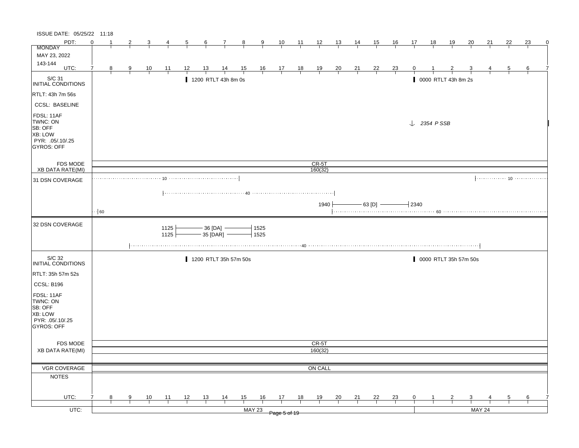| ISSUE DATE: 05/25/22 11:18                                                                   |            |   |   |                |                |    |           |                                           |                       |                 |                                                               |                |                |                |                |                             |                |                     |                        |                       |           |               |    |    |   |
|----------------------------------------------------------------------------------------------|------------|---|---|----------------|----------------|----|-----------|-------------------------------------------|-----------------------|-----------------|---------------------------------------------------------------|----------------|----------------|----------------|----------------|-----------------------------|----------------|---------------------|------------------------|-----------------------|-----------|---------------|----|----|---|
| PDT:                                                                                         | $\Omega$   |   | 2 | 3              |                | 5  | 6         | 7                                         | $_{8}$                | $\frac{9}{2}$   | 10                                                            | $\frac{11}{1}$ | 12             | <u> 13 </u>    | $\frac{14}{1}$ | 15                          | <u>16</u>      | 17                  | 18                     | <u> 19</u>            | <u>20</u> | 21            | 22 | 23 | 0 |
| <b>MONDAY</b>                                                                                |            |   |   |                |                |    |           |                                           |                       |                 |                                                               |                |                |                |                |                             |                |                     |                        |                       |           |               |    |    |   |
| MAY 23, 2022<br>143-144                                                                      |            |   |   |                |                |    |           |                                           |                       |                 |                                                               |                |                |                |                |                             |                |                     |                        |                       |           |               |    |    |   |
| UTC:                                                                                         | 7          | 8 | 9 | $\frac{10}{1}$ | $\frac{11}{1}$ | 12 | <u>13</u> | $\frac{14}{1}$                            | $\frac{15}{1}$        |                 | $\begin{array}{c ccccc}\n16 & 17 & 18 \\ \hline\n\end{array}$ |                | $\frac{19}{1}$ | $\frac{20}{1}$ | $\frac{21}{1}$ | $\frac{22}{1}$              | $\frac{23}{1}$ |                     |                        |                       |           |               | 5  | 6  |   |
| S/C 31<br><b>INITIAL CONDITIONS</b>                                                          |            |   |   |                |                |    |           | 1200 RTLT 43h 8m 0s                       |                       |                 |                                                               |                |                |                |                |                             |                |                     |                        | 0000 RTLT 43h 8m 2s   |           |               |    |    |   |
| RTLT: 43h 7m 56s                                                                             |            |   |   |                |                |    |           |                                           |                       |                 |                                                               |                |                |                |                |                             |                |                     |                        |                       |           |               |    |    |   |
| <b>CCSL: BASELINE</b>                                                                        |            |   |   |                |                |    |           |                                           |                       |                 |                                                               |                |                |                |                |                             |                |                     |                        |                       |           |               |    |    |   |
| FDSL: 11AF<br>TWNC: ON<br><b>SB: OFF</b><br><b>XB: LOW</b><br>PYR: .05/.10/.25<br>GYROS: OFF |            |   |   |                |                |    |           |                                           |                       |                 |                                                               |                |                |                |                |                             |                |                     | $\downarrow$ 2354 PSSB |                       |           |               |    |    |   |
| <b>FDS MODE</b>                                                                              |            |   |   |                |                |    |           |                                           |                       |                 |                                                               |                | CR-5T          |                |                |                             |                |                     |                        |                       |           |               |    |    |   |
| <b>XB DATA RATE(MI)</b>                                                                      |            |   |   |                |                |    |           |                                           |                       |                 |                                                               |                | 160(32)        |                |                |                             |                |                     |                        |                       |           |               |    |    |   |
| 31 DSN COVERAGE                                                                              |            |   |   |                |                |    |           |                                           |                       |                 |                                                               |                |                |                |                |                             |                |                     |                        |                       |           |               |    |    |   |
|                                                                                              |            |   |   |                |                |    |           |                                           |                       |                 |                                                               |                |                |                |                |                             |                |                     |                        |                       |           |               |    |    |   |
|                                                                                              |            |   |   |                |                |    |           |                                           |                       |                 |                                                               |                | 1940           |                |                | $-63$ [D] $\longrightarrow$ |                | $\overline{1}$ 2340 |                        |                       |           |               |    |    |   |
|                                                                                              | $\cdot$ 60 |   |   |                |                |    |           |                                           |                       |                 |                                                               |                |                |                |                |                             |                |                     |                        |                       |           |               |    |    |   |
|                                                                                              |            |   |   |                |                |    |           |                                           |                       |                 |                                                               |                |                |                |                |                             |                |                     |                        |                       |           |               |    |    |   |
| 32 DSN COVERAGE                                                                              |            |   |   |                | 1125<br>1125   |    |           | — 36 [DA]  —<br>- 35 [DAR] <mark>–</mark> |                       | $-1525$<br>1525 |                                                               |                |                |                |                |                             |                |                     |                        |                       |           |               |    |    |   |
|                                                                                              |            |   |   |                |                |    |           |                                           |                       |                 |                                                               |                |                |                |                |                             |                |                     |                        |                       |           |               |    |    |   |
| S/C 32<br>INITIAL CONDITIONS                                                                 |            |   |   |                |                |    |           |                                           | 1200 RTLT 35h 57m 50s |                 |                                                               |                |                |                |                |                             |                |                     |                        | 0000 RTLT 35h 57m 50s |           |               |    |    |   |
| RTLT: 35h 57m 52s                                                                            |            |   |   |                |                |    |           |                                           |                       |                 |                                                               |                |                |                |                |                             |                |                     |                        |                       |           |               |    |    |   |
| CCSL: B196                                                                                   |            |   |   |                |                |    |           |                                           |                       |                 |                                                               |                |                |                |                |                             |                |                     |                        |                       |           |               |    |    |   |
| FDSL: 11AF<br>TWNC: ON<br>SB: OFF<br>XB: LOW<br>PYR: .05/.10/.25<br>GYROS: OFF               |            |   |   |                |                |    |           |                                           |                       |                 |                                                               |                |                |                |                |                             |                |                     |                        |                       |           |               |    |    |   |
| <b>FDS MODE</b>                                                                              |            |   |   |                |                |    |           |                                           |                       |                 |                                                               |                | CR-5T          |                |                |                             |                |                     |                        |                       |           |               |    |    |   |
| <b>XB DATA RATE(MI)</b>                                                                      |            |   |   |                |                |    |           |                                           |                       |                 |                                                               |                | 160(32)        |                |                |                             |                |                     |                        |                       |           |               |    |    |   |
|                                                                                              |            |   |   |                |                |    |           |                                           |                       |                 |                                                               |                |                |                |                |                             |                |                     |                        |                       |           |               |    |    |   |
| VGR COVERAGE                                                                                 |            |   |   |                |                |    |           |                                           |                       |                 |                                                               |                | ON CALL        |                |                |                             |                |                     |                        |                       |           |               |    |    |   |
| <b>NOTES</b>                                                                                 |            |   |   |                |                |    |           |                                           |                       |                 |                                                               |                |                |                |                |                             |                |                     |                        |                       |           |               |    |    |   |
|                                                                                              |            |   |   |                |                |    |           |                                           |                       |                 |                                                               |                |                |                |                |                             |                |                     |                        |                       |           |               |    |    |   |
| UTC:                                                                                         |            | 8 | 9 | 10             | 11             | 12 | 13        | $\frac{14}{1}$                            | 15                    | 16              | 17                                                            | 18             | 19             | <b>20</b>      | 21             | 22                          | $\frac{23}{1}$ | 0                   |                        |                       | 3         |               | 5  | 6  |   |
|                                                                                              |            |   |   |                |                |    |           |                                           |                       | <b>MAY 23</b>   |                                                               |                |                |                |                |                             |                |                     |                        |                       |           |               |    |    |   |
| $UTC$ :                                                                                      |            |   |   |                |                |    |           |                                           |                       |                 |                                                               |                |                |                |                |                             |                |                     |                        |                       |           | <b>MAY 24</b> |    |    |   |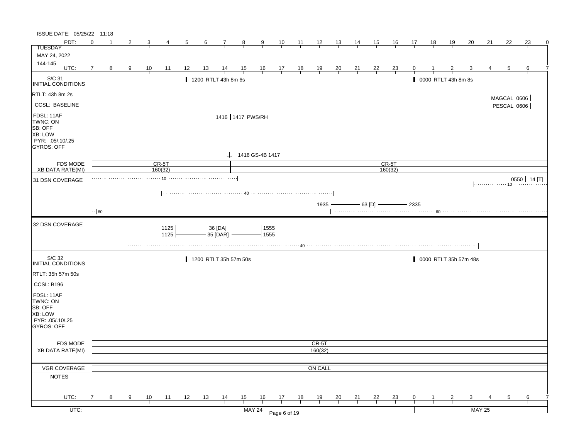| ISSUE DATE: 05/25/22 11:18                                                            |            |    |   |                |                 |    |           |                                  |                |                              |                                                      |                |                |                |                |                              |                |            |                     |    |                       |               |               |                        |             |
|---------------------------------------------------------------------------------------|------------|----|---|----------------|-----------------|----|-----------|----------------------------------|----------------|------------------------------|------------------------------------------------------|----------------|----------------|----------------|----------------|------------------------------|----------------|------------|---------------------|----|-----------------------|---------------|---------------|------------------------|-------------|
| PDT:                                                                                  | $\Omega$   | -1 | 2 | 3              |                 | 5  | 6         | 7                                | $\frac{8}{ }$  | 9                            | 10                                                   | 11             | 12             | 13             | 14             | <u>15</u>                    | <u>16</u>      | 17         | 18                  | 19 | 20                    | 21            | 22            | 23                     | $\mathbf 0$ |
| <b>TUESDAY</b>                                                                        |            |    |   |                |                 |    |           |                                  |                |                              |                                                      |                |                |                |                |                              |                |            |                     |    |                       |               |               |                        |             |
| MAY 24, 2022                                                                          |            |    |   |                |                 |    |           |                                  |                |                              |                                                      |                |                |                |                |                              |                |            |                     |    |                       |               |               |                        |             |
| 144-145<br>UTC:                                                                       |            |    |   |                |                 |    |           |                                  |                |                              |                                                      |                |                |                |                |                              |                |            |                     |    |                       |               |               |                        |             |
|                                                                                       |            | 8  | 9 | $\frac{10}{1}$ | $\overline{11}$ | 12 | <u>13</u> | $\frac{14}{1}$                   | $\frac{15}{1}$ |                              | $\begin{array}{c c}\n16 & 17 \\ \hline\n\end{array}$ | $\frac{18}{1}$ | $\frac{19}{1}$ | $\frac{20}{1}$ | $\frac{21}{1}$ | $\frac{22}{1}$               | $\frac{23}{1}$ |            |                     |    |                       |               | 5             | 6                      |             |
| S/C 31<br>INITIAL CONDITIONS                                                          |            |    |   |                |                 |    |           | 1200 RTLT 43h 8m 6s              |                |                              |                                                      |                |                |                |                |                              |                |            | 0000 RTLT 43h 8m 8s |    |                       |               |               |                        |             |
| RTLT: 43h 8m 2s                                                                       |            |    |   |                |                 |    |           |                                  |                |                              |                                                      |                |                |                |                |                              |                |            |                     |    |                       |               | MAGCAL 0606 - |                        |             |
| <b>CCSL: BASELINE</b>                                                                 |            |    |   |                |                 |    |           |                                  |                |                              |                                                      |                |                |                |                |                              |                |            |                     |    |                       |               | PESCAL 0606   |                        |             |
| FDSL: 11AF<br>TWNC: ON<br>SB: OFF<br>XB: LOW<br>PYR: .05/.10/.25<br><b>GYROS: OFF</b> |            |    |   |                |                 |    |           | 1416 1417 PWS/RH                 |                | $\downarrow$ 1416 GS-4B 1417 |                                                      |                |                |                |                |                              |                |            |                     |    |                       |               |               |                        |             |
| FDS MODE                                                                              |            |    |   |                | $CR-5T$         |    |           |                                  |                |                              |                                                      |                |                |                |                |                              | $CR-5T$        |            |                     |    |                       |               |               |                        |             |
| <b>XB DATA RATE(MI)</b>                                                               |            |    |   |                | 160(32)         |    |           |                                  |                |                              |                                                      |                |                |                |                |                              | 160(32)        |            |                     |    |                       |               |               |                        |             |
| 31 DSN COVERAGE                                                                       |            |    |   |                |                 |    |           |                                  |                |                              |                                                      |                |                |                |                |                              |                |            |                     |    |                       |               |               | $0550$ $\vdash$ 14 [T] |             |
|                                                                                       |            |    |   |                |                 |    |           |                                  |                |                              |                                                      |                |                |                |                |                              |                |            |                     |    |                       |               |               |                        |             |
|                                                                                       |            |    |   |                |                 |    |           |                                  |                |                              |                                                      |                | 1935           |                |                | $-$ 63 [D] $\longrightarrow$ |                | $\pm$ 2335 |                     |    |                       |               |               |                        |             |
|                                                                                       | $\cdot$ 60 |    |   |                |                 |    |           |                                  |                |                              |                                                      |                |                |                |                |                              |                |            |                     |    |                       |               |               |                        |             |
| 32 DSN COVERAGE                                                                       |            |    |   |                | 1125<br>1125    |    |           | $-36$ [DA] $-$<br>$35$ [DAR] $-$ |                | 1555<br>1555                 |                                                      |                |                |                |                |                              |                |            |                     |    |                       |               |               |                        |             |
| S/C 32                                                                                |            |    |   |                |                 |    |           | 1200 RTLT 35h 57m 50s            |                |                              |                                                      |                |                |                |                |                              |                |            |                     |    | 0000 RTLT 35h 57m 48s |               |               |                        |             |
| INITIAL CONDITIONS                                                                    |            |    |   |                |                 |    |           |                                  |                |                              |                                                      |                |                |                |                |                              |                |            |                     |    |                       |               |               |                        |             |
| RTLT: 35h 57m 50s                                                                     |            |    |   |                |                 |    |           |                                  |                |                              |                                                      |                |                |                |                |                              |                |            |                     |    |                       |               |               |                        |             |
| CCSL: B196                                                                            |            |    |   |                |                 |    |           |                                  |                |                              |                                                      |                |                |                |                |                              |                |            |                     |    |                       |               |               |                        |             |
| FDSL: 11AF<br>TWNC: ON<br>SB: OFF<br>XB: LOW<br>PYR: .05/.10/.25<br><b>GYROS: OFF</b> |            |    |   |                |                 |    |           |                                  |                |                              |                                                      |                |                |                |                |                              |                |            |                     |    |                       |               |               |                        |             |
| FDS MODE                                                                              |            |    |   |                |                 |    |           |                                  |                |                              |                                                      |                | CR-5T          |                |                |                              |                |            |                     |    |                       |               |               |                        |             |
| <b>XB DATA RATE(MI)</b>                                                               |            |    |   |                |                 |    |           |                                  |                |                              |                                                      |                | 160(32)        |                |                |                              |                |            |                     |    |                       |               |               |                        |             |
|                                                                                       |            |    |   |                |                 |    |           |                                  |                |                              |                                                      |                |                |                |                |                              |                |            |                     |    |                       |               |               |                        |             |
| VGR COVERAGE                                                                          |            |    |   |                |                 |    |           |                                  |                |                              |                                                      |                | ON CALL        |                |                |                              |                |            |                     |    |                       |               |               |                        |             |
| <b>NOTES</b>                                                                          |            |    |   |                |                 |    |           |                                  |                |                              |                                                      |                |                |                |                |                              |                |            |                     |    |                       |               |               |                        |             |
| UTC:                                                                                  |            | 8  | 9 | 10             | 11              | 12 | 13        | $\frac{14}{1}$                   | 15             | 16                           | 17                                                   | 18             | 19             | 20             | 21             | 22                           | 23             | 0          |                     | 2  | 3                     |               |               | 6                      |             |
|                                                                                       |            |    |   |                |                 |    |           |                                  |                |                              |                                                      |                |                |                |                |                              |                |            |                     |    |                       |               |               |                        |             |
| UTC:                                                                                  |            |    |   |                |                 |    |           |                                  |                | <b>MAY 24</b>                | Page 6 of 19                                         |                |                |                |                |                              |                |            |                     |    |                       | <b>MAY 25</b> |               |                        |             |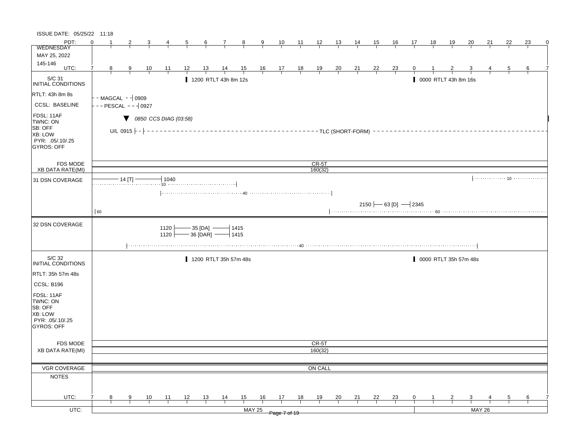| ISSUE DATE: 05/25/22 11:18                                                            |          |                                 |                                            |                  |                |    |                                              |               |    |                                        |    |                |                |                |                |                          |                 |              |                       |               |    |    |           |
|---------------------------------------------------------------------------------------|----------|---------------------------------|--------------------------------------------|------------------|----------------|----|----------------------------------------------|---------------|----|----------------------------------------|----|----------------|----------------|----------------|----------------|--------------------------|-----------------|--------------|-----------------------|---------------|----|----|-----------|
| PDT:                                                                                  | $\Omega$ | 2                               | 3                                          | 4                | $\overline{5}$ | 6  |                                              | $7 \t 8$      |    | <u>9 10 11 12 13 14 15 16</u>          |    |                |                |                |                |                          | $\overline{17}$ | 18           | 19                    | 20            | 21 | 22 | 23<br>- 0 |
| <b>WEDNESDAY</b>                                                                      |          |                                 |                                            |                  |                |    |                                              |               |    |                                        |    |                |                |                |                |                          |                 |              |                       |               |    |    |           |
| MAY 25, 2022                                                                          |          |                                 |                                            |                  |                |    |                                              |               |    |                                        |    |                |                |                |                |                          |                 |              |                       |               |    |    |           |
| 145-146<br>UTC:                                                                       | 7<br>8   | 9                               | $\frac{10}{1}$                             | 11               | 12             | 13 | $\frac{14}{ }$                               |               |    | $\frac{15}{1}$ 16 17 18                |    | $\frac{19}{1}$ | $\frac{20}{1}$ | $\frac{21}{1}$ | $\frac{22}{1}$ | $\frac{23}{1}$           | $\mathbf{0}$    |              |                       |               |    | 5  | 6         |
| S/C 31<br><b>INITIAL CONDITIONS</b>                                                   |          |                                 |                                            |                  |                |    | 1200 RTLT 43h 8m 12s                         |               |    |                                        |    |                |                |                |                |                          |                 |              | 0000 RTLT 43h 8m 16s  |               |    |    |           |
| <b>RTLT: 43h 8m 8s</b>                                                                |          | $-MAGCAL - 10909$               |                                            |                  |                |    |                                              |               |    |                                        |    |                |                |                |                |                          |                 |              |                       |               |    |    |           |
| <b>CCSL: BASELINE</b>                                                                 |          | $-$ PESCAL $  \frac{1}{2}$ 0927 |                                            |                  |                |    |                                              |               |    |                                        |    |                |                |                |                |                          |                 |              |                       |               |    |    |           |
| FDSL: 11AF<br>TWNC: ON<br>SB: OFF<br>XB: LOW<br>PYR: .05/.10/.25<br>GYROS: OFF        |          | U/L 0915 $-$ - $-$              | $\blacktriangledown$ 0850 CCS DIAG (03:58) |                  |                |    |                                              |               |    | -------------TLC (SHORT-FORM) -------- |    |                |                |                |                |                          |                 |              |                       |               |    |    |           |
| <b>FDS MODE</b>                                                                       |          |                                 |                                            |                  |                |    |                                              |               |    |                                        |    | CR-5T          |                |                |                |                          |                 |              |                       |               |    |    |           |
| XB DATA RATE(MI)                                                                      |          |                                 |                                            |                  |                |    |                                              |               |    |                                        |    | 160(32)        |                |                |                |                          |                 |              |                       |               |    |    |           |
| 31 DSN COVERAGE                                                                       |          | - 14 [T] -                      |                                            | $-1040$          |                |    |                                              |               |    |                                        |    |                |                |                |                |                          |                 |              |                       |               |    |    |           |
|                                                                                       |          |                                 |                                            |                  |                |    |                                              |               |    |                                        |    |                |                |                |                |                          |                 |              |                       |               |    |    |           |
|                                                                                       |          |                                 |                                            |                  |                |    |                                              |               |    |                                        |    |                |                |                |                |                          |                 |              |                       |               |    |    |           |
|                                                                                       |          |                                 |                                            |                  |                |    |                                              |               |    |                                        |    |                |                |                |                | 2150 $-$ 63 [D] $-$ 2345 |                 |              |                       |               |    |    |           |
|                                                                                       | $-60$    |                                 |                                            |                  |                |    |                                              |               |    |                                        |    |                |                |                |                |                          |                 |              |                       |               |    |    |           |
| 32 DSN COVERAGE                                                                       |          |                                 |                                            | 1120<br>$1120 +$ |                |    | — 35 [DA] ———   1415<br>— 36 [DAR] ——   1415 |               |    |                                        |    |                |                |                |                |                          |                 |              |                       |               |    |    |           |
|                                                                                       |          |                                 |                                            |                  |                |    |                                              |               |    |                                        |    |                |                |                |                |                          |                 |              |                       |               |    |    |           |
| S/C 32<br>INITIAL CONDITIONS                                                          |          |                                 |                                            |                  |                |    | 1200 RTLT 35h 57m 48s                        |               |    |                                        |    |                |                |                |                |                          |                 |              | 0000 RTLT 35h 57m 48s |               |    |    |           |
| RTLT: 35h 57m 48s                                                                     |          |                                 |                                            |                  |                |    |                                              |               |    |                                        |    |                |                |                |                |                          |                 |              |                       |               |    |    |           |
| CCSL: B196                                                                            |          |                                 |                                            |                  |                |    |                                              |               |    |                                        |    |                |                |                |                |                          |                 |              |                       |               |    |    |           |
| FDSL: 11AF<br>TWNC: ON<br>SB: OFF<br>XB: LOW<br>PYR: .05/.10/.25<br><b>GYROS: OFF</b> |          |                                 |                                            |                  |                |    |                                              |               |    |                                        |    |                |                |                |                |                          |                 |              |                       |               |    |    |           |
| <b>FDS MODE</b>                                                                       |          |                                 |                                            |                  |                |    |                                              |               |    |                                        |    | CR-5T          |                |                |                |                          |                 |              |                       |               |    |    |           |
| <b>XB DATA RATE(MI)</b>                                                               |          |                                 |                                            |                  |                |    |                                              |               |    |                                        |    | 160(32)        |                |                |                |                          |                 |              |                       |               |    |    |           |
|                                                                                       |          |                                 |                                            |                  |                |    |                                              |               |    |                                        |    |                |                |                |                |                          |                 |              |                       |               |    |    |           |
| VGR COVERAGE                                                                          |          |                                 |                                            |                  |                |    |                                              |               |    |                                        |    | ON CALL        |                |                |                |                          |                 |              |                       |               |    |    |           |
| <b>NOTES</b>                                                                          |          |                                 |                                            |                  |                |    |                                              |               |    |                                        |    |                |                |                |                |                          |                 |              |                       |               |    |    |           |
|                                                                                       |          |                                 |                                            |                  |                |    |                                              |               |    |                                        |    |                |                |                |                |                          |                 |              |                       |               |    |    |           |
| UTC:                                                                                  | 8        | 9                               | 10                                         | 11               | 12             | 13 | 14                                           | 15            | 16 | 17                                     | 18 | 19             | 20             | 21             | 22             | 23                       | 0               | $\mathbf{1}$ | 2                     | 3             | 4  | 5  | 6         |
|                                                                                       |          |                                 |                                            |                  |                |    |                                              |               |    |                                        |    |                |                |                |                |                          |                 |              |                       |               |    |    |           |
| UTC:                                                                                  |          |                                 |                                            |                  |                |    |                                              | <b>MAY 25</b> |    | Page 7 of 19                           |    |                |                |                |                |                          |                 |              |                       | <b>MAY 26</b> |    |    |           |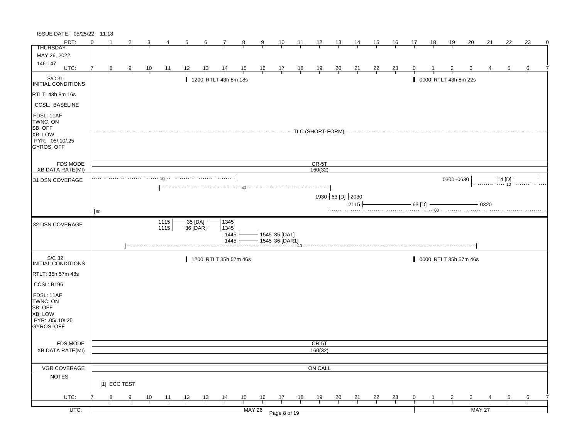| ISSUE DATE: 05/25/22 11:18                                                     |    |   |              |                |                  |           |              |                              |                |                |                                 |                |                      |                  |                |                |                |            |    |                      |                       |               |          |    |   |
|--------------------------------------------------------------------------------|----|---|--------------|----------------|------------------|-----------|--------------|------------------------------|----------------|----------------|---------------------------------|----------------|----------------------|------------------|----------------|----------------|----------------|------------|----|----------------------|-----------------------|---------------|----------|----|---|
| PDT:                                                                           | ∩  |   | 2            |                |                  | 5         | 6            | 7                            | 8              | 9              | 10                              | 11             | 12                   | 13               | 14             | <u>15</u>      | <u>16</u>      | 17         | 18 | <u> 19</u>           | 20                    | 21            | 22       | 23 | 0 |
| <b>THURSDAY</b>                                                                |    |   |              |                |                  |           |              |                              |                |                |                                 |                |                      |                  |                |                |                |            |    |                      |                       |               |          |    |   |
| MAY 26, 2022                                                                   |    |   |              |                |                  |           |              |                              |                |                |                                 |                |                      |                  |                |                |                |            |    |                      |                       |               |          |    |   |
| 146-147<br>UTC:                                                                | 7  | 8 | 9            | $\frac{10}{1}$ | 11               | 12        |              | $\frac{14}{}$                | $\frac{15}{1}$ | $\frac{16}{1}$ | $\frac{17}{1}$                  | $\frac{18}{1}$ | $\frac{19}{1}$       | $\frac{20}{1}$   | $\frac{21}{1}$ | $\frac{22}{1}$ | $\frac{23}{ }$ |            |    |                      |                       |               |          | 6  |   |
|                                                                                |    |   |              |                |                  |           |              |                              |                |                |                                 |                |                      |                  |                |                |                |            |    |                      |                       |               |          |    |   |
| S/C 31<br><b>INITIAL CONDITIONS</b>                                            |    |   |              |                |                  |           |              | 1200 RTLT 43h 8m 18s         |                |                |                                 |                |                      |                  |                |                |                |            |    | 0000 RTLT 43h 8m 22s |                       |               |          |    |   |
| RTLT: 43h 8m 16s                                                               |    |   |              |                |                  |           |              |                              |                |                |                                 |                |                      |                  |                |                |                |            |    |                      |                       |               |          |    |   |
| <b>CCSL: BASELINE</b>                                                          |    |   |              |                |                  |           |              |                              |                |                |                                 |                |                      |                  |                |                |                |            |    |                      |                       |               |          |    |   |
| FDSL: 11AF<br>TWNC: ON<br>SB: OFF<br>XB: LOW<br>PYR: .05/.10/.25<br>GYROS: OFF |    |   |              |                |                  |           |              |                              |                |                |                                 |                | --TLC (SHORT-FORM) - |                  |                |                |                |            |    |                      |                       |               |          |    |   |
| <b>FDS MODE</b>                                                                |    |   |              |                |                  |           |              |                              |                |                |                                 |                | $CR-5T$              |                  |                |                |                |            |    |                      |                       |               |          |    |   |
| <b>XB DATA RATE(MI)</b>                                                        |    |   |              |                |                  |           |              |                              |                |                |                                 |                | 160(32)              |                  |                |                |                |            |    |                      |                       |               |          |    |   |
| 31 DSN COVERAGE                                                                |    |   |              |                |                  |           |              |                              |                |                |                                 |                |                      |                  |                |                |                |            |    | 0300-0630            |                       |               | $14$ [D] |    |   |
|                                                                                |    |   |              |                |                  |           |              |                              |                |                |                                 |                |                      |                  |                |                |                |            |    |                      |                       |               |          |    |   |
|                                                                                |    |   |              |                |                  |           |              |                              |                |                |                                 |                |                      | 1930 63 [D] 2030 |                |                |                |            |    |                      |                       |               |          |    |   |
|                                                                                |    |   |              |                |                  |           |              |                              |                |                |                                 |                |                      |                  | 2115           |                |                | - 63 [D] - |    |                      |                       | 10320         |          |    |   |
|                                                                                | 60 |   |              |                |                  |           |              |                              |                |                |                                 |                |                      |                  |                |                |                |            |    |                      |                       |               |          |    |   |
| 32 DSN COVERAGE                                                                |    |   |              |                | 1115<br>$1115 +$ | - 35 [DA] | - 36 [DAR] - | 1345<br>1345<br>1445<br>1445 |                |                | 1545 35 [DA1]<br>1545 36 [DAR1] |                |                      |                  |                |                |                |            |    |                      |                       |               |          |    |   |
| S/C 32<br>INITIAL CONDITIONS                                                   |    |   |              |                |                  |           |              | 1200 RTLT 35h 57m 46s        |                |                |                                 |                |                      |                  |                |                |                |            |    |                      | 0000 RTLT 35h 57m 46s |               |          |    |   |
| RTLT: 35h 57m 48s                                                              |    |   |              |                |                  |           |              |                              |                |                |                                 |                |                      |                  |                |                |                |            |    |                      |                       |               |          |    |   |
| CCSL: B196                                                                     |    |   |              |                |                  |           |              |                              |                |                |                                 |                |                      |                  |                |                |                |            |    |                      |                       |               |          |    |   |
| FDSL: 11AF<br>TWNC: ON<br>SB: OFF<br>XB: LOW<br>PYR: .05/.10/.25<br>GYROS: OFF |    |   |              |                |                  |           |              |                              |                |                |                                 |                |                      |                  |                |                |                |            |    |                      |                       |               |          |    |   |
| <b>FDS MODE</b>                                                                |    |   |              |                |                  |           |              |                              |                |                |                                 |                | CR-5T                |                  |                |                |                |            |    |                      |                       |               |          |    |   |
| <b>XB DATA RATE(MI)</b>                                                        |    |   |              |                |                  |           |              |                              |                |                |                                 |                | 160(32)              |                  |                |                |                |            |    |                      |                       |               |          |    |   |
|                                                                                |    |   |              |                |                  |           |              |                              |                |                |                                 |                |                      |                  |                |                |                |            |    |                      |                       |               |          |    |   |
| VGR COVERAGE                                                                   |    |   |              |                |                  |           |              |                              |                |                |                                 |                | ON CALL              |                  |                |                |                |            |    |                      |                       |               |          |    |   |
| <b>NOTES</b>                                                                   |    |   | [1] ECC TEST |                |                  |           |              |                              |                |                |                                 |                |                      |                  |                |                |                |            |    |                      |                       |               |          |    |   |
| UTC:                                                                           |    | 8 | 9            | 10             | 11               | 12        | <u>13</u>    | $\frac{14}{1}$               | $\frac{15}{1}$ | 16             | 17                              | 18             | <u>19</u>            | $\frac{20}{1}$   | $\frac{21}{1}$ | $\frac{22}{1}$ | $\frac{23}{1}$ | 0          |    |                      | 3                     |               |          | 6  |   |
|                                                                                |    |   |              |                |                  |           |              |                              |                |                |                                 |                |                      |                  |                |                |                |            |    |                      |                       |               |          |    |   |
| UTC:                                                                           |    |   |              |                |                  |           |              |                              |                | <b>MAY 26</b>  | Page 8 of 19                    |                |                      |                  |                |                |                |            |    |                      |                       | <b>MAY 27</b> |          |    |   |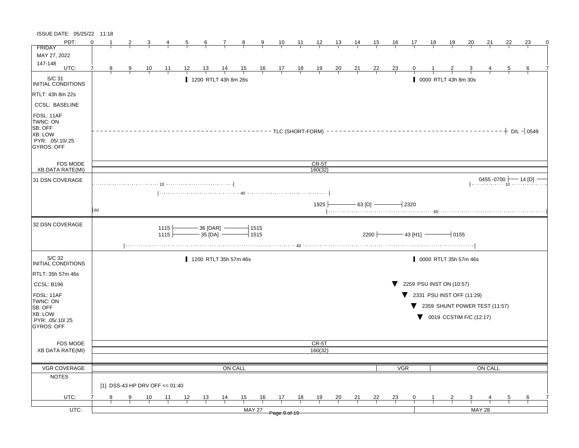| ISSUE DATE: 05/25/22 11:18                                                           |          |   |   |                                |              |    |                        |                |                |                |                |                 |                        |                |    |                |                |                 |    |                                                |           |               |    |                                      |
|--------------------------------------------------------------------------------------|----------|---|---|--------------------------------|--------------|----|------------------------|----------------|----------------|----------------|----------------|-----------------|------------------------|----------------|----|----------------|----------------|-----------------|----|------------------------------------------------|-----------|---------------|----|--------------------------------------|
| PDT:                                                                                 | $\Omega$ |   | 2 |                                |              | 5  | 6                      | 7              | 8              | 9              | 10             | $\overline{11}$ | 12                     | 13             | 14 | <u>15</u>      | 16             | 17              | 18 | <u>19</u>                                      | <u>20</u> | 21            | 22 | 23<br>0                              |
| <b>FRIDAY</b>                                                                        |          |   |   |                                |              |    |                        |                |                |                |                |                 |                        |                |    |                |                |                 |    |                                                |           |               |    |                                      |
| MAY 27, 2022                                                                         |          |   |   |                                |              |    |                        |                |                |                |                |                 |                        |                |    |                |                |                 |    |                                                |           |               |    |                                      |
| 147-148<br>UTC:                                                                      | 7        | 8 | 9 | 10                             | 11           | 12 | 13                     | <u>14</u>      |                |                |                |                 |                        |                | 21 | <u>22</u>      |                |                 |    |                                                |           |               | 5  | 6                                    |
|                                                                                      |          |   |   |                                |              |    |                        |                | $\frac{15}{1}$ | $\frac{16}{1}$ | $\frac{17}{1}$ | $\frac{18}{1}$  | $\frac{19}{1}$         | $\frac{20}{1}$ |    |                | $\frac{23}{ }$ |                 |    |                                                |           |               |    |                                      |
| S/C 31<br><b>INITIAL CONDITIONS</b>                                                  |          |   |   |                                |              |    | 1200 RTLT 43h 8m 26s   |                |                |                |                |                 |                        |                |    |                |                |                 |    | 0000 RTLT 43h 8m 30s                           |           |               |    |                                      |
| RTLT: 43h 8m 22s                                                                     |          |   |   |                                |              |    |                        |                |                |                |                |                 |                        |                |    |                |                |                 |    |                                                |           |               |    |                                      |
| <b>CCSL: BASELINE</b>                                                                |          |   |   |                                |              |    |                        |                |                |                |                |                 |                        |                |    |                |                |                 |    |                                                |           |               |    |                                      |
| FDSL: 11AF<br>TWNC: ON<br>SB: OFF<br>XB: LOW<br>PYR: 05/.10/.25<br><b>GYROS: OFF</b> |          |   |   |                                |              |    |                        |                |                |                |                |                 | - - TLC (SHORT-FORM) - |                |    |                |                |                 |    |                                                |           |               |    | $+$ D/L $-$ 0549                     |
| <b>FDS MODE</b>                                                                      |          |   |   |                                |              |    |                        |                |                |                |                |                 | $CR-5T$                |                |    |                |                |                 |    |                                                |           |               |    |                                      |
| <b>XB DATA RATE(MI)</b>                                                              |          |   |   |                                |              |    |                        |                |                |                |                |                 | 160(32)                |                |    |                |                |                 |    |                                                |           |               |    |                                      |
| 31 DSN COVERAGE                                                                      |          |   |   |                                |              |    |                        |                |                |                |                |                 |                        |                |    |                |                |                 |    |                                                |           |               |    | $0455 - 0700$ $\rightarrow$ 14 [D] - |
|                                                                                      |          |   |   |                                |              |    |                        |                |                |                |                |                 |                        |                |    |                |                |                 |    |                                                |           |               |    |                                      |
|                                                                                      |          |   |   |                                |              |    |                        |                |                |                |                |                 |                        |                |    |                |                |                 |    |                                                |           |               |    |                                      |
|                                                                                      | 60       |   |   |                                |              |    |                        |                |                |                |                |                 | 1925                   |                |    | $-$ 63 [D] $-$ |                | $+2320$         |    |                                                |           |               |    |                                      |
|                                                                                      |          |   |   |                                |              |    |                        |                |                |                |                |                 |                        |                |    |                |                |                 |    |                                                |           |               |    |                                      |
| 32 DSN COVERAGE                                                                      |          |   |   |                                | 1115<br>1115 |    | 36 [DAR]<br>$-35$ [DA] |                |                | 1515<br>1515   |                |                 |                        |                |    | 2200           |                | $-$ 43 [H1] $-$ |    | 10155                                          |           |               |    |                                      |
| S/C 32<br>INITIAL CONDITIONS                                                         |          |   |   |                                |              |    | 1200 RTLT 35h 57m 46s  |                |                |                |                |                 |                        |                |    |                |                |                 |    | 0000 RTLT 35h 57m 46s                          |           |               |    |                                      |
| RTLT: 35h 57m 46s                                                                    |          |   |   |                                |              |    |                        |                |                |                |                |                 |                        |                |    |                |                |                 |    |                                                |           |               |    |                                      |
| CCSL: B196                                                                           |          |   |   |                                |              |    |                        |                |                |                |                |                 |                        |                |    |                |                |                 |    | 2259 PSU INST ON (10:57)                       |           |               |    |                                      |
| FDSL: 11AF                                                                           |          |   |   |                                |              |    |                        |                |                |                |                |                 |                        |                |    |                |                |                 |    | $\blacktriangledown$ 2331 PSU INST OFF (11:29) |           |               |    |                                      |
| TWNC: ON                                                                             |          |   |   |                                |              |    |                        |                |                |                |                |                 |                        |                |    |                |                | v.              |    | 2359 SHUNT POWER TEST (11:57)                  |           |               |    |                                      |
| SB: OFF<br>XB: LOW                                                                   |          |   |   |                                |              |    |                        |                |                |                |                |                 |                        |                |    |                |                |                 |    |                                                |           |               |    |                                      |
| PYR: .05/.10/.25                                                                     |          |   |   |                                |              |    |                        |                |                |                |                |                 |                        |                |    |                |                |                 |    | 0019 CCSTIM F/C (12:17)                        |           |               |    |                                      |
| <b>GYROS: OFF</b>                                                                    |          |   |   |                                |              |    |                        |                |                |                |                |                 |                        |                |    |                |                |                 |    |                                                |           |               |    |                                      |
|                                                                                      |          |   |   |                                |              |    |                        |                |                |                |                |                 |                        |                |    |                |                |                 |    |                                                |           |               |    |                                      |
| <b>FDS MODE</b>                                                                      |          |   |   |                                |              |    |                        |                |                |                |                |                 | CR-5T                  |                |    |                |                |                 |    |                                                |           |               |    |                                      |
| <b>XB DATA RATE(MI)</b>                                                              |          |   |   |                                |              |    |                        |                |                |                |                |                 | 160(32)                |                |    |                |                |                 |    |                                                |           |               |    |                                      |
|                                                                                      |          |   |   |                                |              |    |                        |                |                |                |                |                 |                        |                |    |                |                |                 |    |                                                |           |               |    |                                      |
| VGR COVERAGE                                                                         |          |   |   |                                |              |    |                        |                | ON CALL        |                |                |                 |                        |                |    |                | VGR            |                 |    |                                                |           | ON CALL       |    |                                      |
| <b>NOTES</b>                                                                         |          |   |   |                                |              |    |                        |                |                |                |                |                 |                        |                |    |                |                |                 |    |                                                |           |               |    |                                      |
|                                                                                      |          |   |   | [1] DSS-43 HP DRV OFF <= 01:40 |              |    |                        |                |                |                |                |                 |                        |                |    |                |                |                 |    |                                                |           |               |    |                                      |
| UTC:                                                                                 |          | 8 | 9 | 10                             | 11           | 12 | 13                     | $\frac{14}{1}$ | 15             | 16             | 17             | 18              | 19                     | 20             | 21 | <u>22</u>      | $\frac{23}{1}$ | $\mathbf{0}$    |    |                                                | 3         |               | 5  | 6                                    |
| UTC:                                                                                 |          |   |   |                                |              |    |                        |                |                | <b>MAY 27</b>  |                |                 |                        |                |    |                |                |                 |    |                                                |           | <b>MAY 28</b> |    |                                      |
|                                                                                      |          |   |   |                                |              |    |                        |                |                |                | Page 9 of 19   |                 |                        |                |    |                |                |                 |    |                                                |           |               |    |                                      |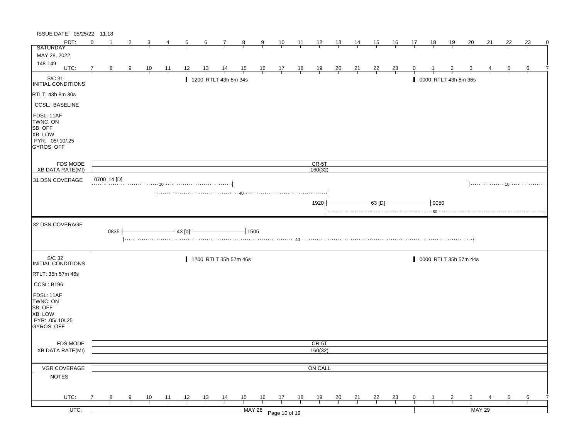| ISSUE DATE: 05/25/22 11:18                                                                   |          |             |   |                |                |          |           |                       |                |               |                                                                |                |                    |                |                |                |                |    |       |                       |               |    |                |    |   |
|----------------------------------------------------------------------------------------------|----------|-------------|---|----------------|----------------|----------|-----------|-----------------------|----------------|---------------|----------------------------------------------------------------|----------------|--------------------|----------------|----------------|----------------|----------------|----|-------|-----------------------|---------------|----|----------------|----|---|
| PDT:                                                                                         | $\Omega$ |             | 2 | 3              | 4              | 5        | 6         | 7                     | $_{\rm 8}$     | 9             | 10                                                             | $\frac{11}{2}$ | $\frac{12}{ }$     | $\frac{13}{ }$ | <u>14</u>      | <u>15</u>      | <u>16</u>      | 17 | 18    | 19                    | 20            | 21 | 22             | 23 | 0 |
| <b>SATURDAY</b>                                                                              |          |             |   |                |                |          |           |                       |                |               |                                                                |                |                    |                |                |                |                |    |       |                       |               |    |                |    |   |
| MAY 28, 2022                                                                                 |          |             |   |                |                |          |           |                       |                |               |                                                                |                |                    |                |                |                |                |    |       |                       |               |    |                |    |   |
| 148-149<br>UTC:                                                                              | 7        |             |   |                |                |          |           |                       |                |               |                                                                |                |                    |                |                |                |                |    |       |                       |               |    |                |    |   |
|                                                                                              |          | 8           | 9 | $\frac{10}{1}$ | $\frac{11}{1}$ | 12       | <u>13</u> | $\frac{14}{1}$        | $\frac{15}{1}$ |               | $\begin{array}{c cc} 16 & 17 & 18 \\ \hline & & & \end{array}$ |                | $\frac{19}{1}$     | $\frac{20}{1}$ | $\frac{21}{1}$ | $\frac{22}{1}$ | $\frac{23}{1}$ | 0  |       |                       |               |    | $\overline{5}$ | 6  |   |
| S/C 31<br>INITIAL CONDITIONS                                                                 |          |             |   |                |                |          |           | 1200 RTLT 43h 8m 34s  |                |               |                                                                |                |                    |                |                |                |                |    |       | 0000 RTLT 43h 8m 36s  |               |    |                |    |   |
| RTLT: 43h 8m 30s                                                                             |          |             |   |                |                |          |           |                       |                |               |                                                                |                |                    |                |                |                |                |    |       |                       |               |    |                |    |   |
| <b>CCSL: BASELINE</b>                                                                        |          |             |   |                |                |          |           |                       |                |               |                                                                |                |                    |                |                |                |                |    |       |                       |               |    |                |    |   |
| FDSL: 11AF<br>TWNC: ON<br>SB: OFF<br><b>XB: LOW</b><br>PYR: .05/.10/.25<br><b>GYROS: OFF</b> |          |             |   |                |                |          |           |                       |                |               |                                                                |                |                    |                |                |                |                |    |       |                       |               |    |                |    |   |
| <b>FDS MODE</b><br><b>XB DATA RATE(MI)</b>                                                   |          |             |   |                |                |          |           |                       |                |               |                                                                |                | $CR-5T$<br>160(32) |                |                |                |                |    |       |                       |               |    |                |    |   |
| 31 DSN COVERAGE                                                                              |          | 0700 14 [D] |   |                |                |          |           |                       |                |               |                                                                |                |                    |                |                |                |                |    |       |                       |               |    |                |    |   |
|                                                                                              |          |             |   |                |                |          |           |                       |                |               |                                                                |                |                    |                |                |                |                |    |       |                       |               |    |                |    |   |
|                                                                                              |          |             |   |                |                |          |           |                       |                |               |                                                                |                |                    |                |                |                |                |    |       |                       |               |    |                |    |   |
|                                                                                              |          |             |   |                |                |          |           |                       |                |               |                                                                |                | 1920               |                |                | $-63$ [D] $-$  |                |    | 10050 |                       |               |    |                |    |   |
|                                                                                              |          |             |   |                |                |          |           |                       |                |               |                                                                |                |                    |                |                |                |                |    |       |                       |               |    |                |    |   |
|                                                                                              |          |             |   |                |                |          |           |                       |                |               |                                                                |                |                    |                |                |                |                |    |       |                       |               |    |                |    |   |
| 32 DSN COVERAGE                                                                              |          | 0835        |   |                |                | $43$ [o] |           |                       | $-1505$        |               |                                                                |                |                    |                |                |                |                |    |       |                       |               |    |                |    |   |
|                                                                                              |          |             |   |                |                |          |           |                       |                |               |                                                                |                |                    |                |                |                |                |    |       |                       |               |    |                |    |   |
| S/C 32<br>INITIAL CONDITIONS                                                                 |          |             |   |                |                |          |           | 1200 RTLT 35h 57m 46s |                |               |                                                                |                |                    |                |                |                |                |    |       | 0000 RTLT 35h 57m 44s |               |    |                |    |   |
| RTLT: 35h 57m 46s                                                                            |          |             |   |                |                |          |           |                       |                |               |                                                                |                |                    |                |                |                |                |    |       |                       |               |    |                |    |   |
| CCSL: B196                                                                                   |          |             |   |                |                |          |           |                       |                |               |                                                                |                |                    |                |                |                |                |    |       |                       |               |    |                |    |   |
| FDSL: 11AF                                                                                   |          |             |   |                |                |          |           |                       |                |               |                                                                |                |                    |                |                |                |                |    |       |                       |               |    |                |    |   |
| TWNC: ON                                                                                     |          |             |   |                |                |          |           |                       |                |               |                                                                |                |                    |                |                |                |                |    |       |                       |               |    |                |    |   |
| SB: OFF                                                                                      |          |             |   |                |                |          |           |                       |                |               |                                                                |                |                    |                |                |                |                |    |       |                       |               |    |                |    |   |
| XB: LOW                                                                                      |          |             |   |                |                |          |           |                       |                |               |                                                                |                |                    |                |                |                |                |    |       |                       |               |    |                |    |   |
| PYR: 05/10/25<br>GYROS: OFF                                                                  |          |             |   |                |                |          |           |                       |                |               |                                                                |                |                    |                |                |                |                |    |       |                       |               |    |                |    |   |
|                                                                                              |          |             |   |                |                |          |           |                       |                |               |                                                                |                |                    |                |                |                |                |    |       |                       |               |    |                |    |   |
|                                                                                              |          |             |   |                |                |          |           |                       |                |               |                                                                |                |                    |                |                |                |                |    |       |                       |               |    |                |    |   |
| FDS MODE<br>XB DATA RATE(MI)                                                                 |          |             |   |                |                |          |           |                       |                |               |                                                                |                | CR-5T<br>160(32)   |                |                |                |                |    |       |                       |               |    |                |    |   |
|                                                                                              |          |             |   |                |                |          |           |                       |                |               |                                                                |                |                    |                |                |                |                |    |       |                       |               |    |                |    |   |
| VGR COVERAGE                                                                                 |          |             |   |                |                |          |           |                       |                |               |                                                                |                | ON CALL            |                |                |                |                |    |       |                       |               |    |                |    |   |
| <b>NOTES</b>                                                                                 |          |             |   |                |                |          |           |                       |                |               |                                                                |                |                    |                |                |                |                |    |       |                       |               |    |                |    |   |
|                                                                                              |          |             |   |                |                |          |           |                       |                |               |                                                                |                |                    |                |                |                |                |    |       |                       |               |    |                |    |   |
| UTC:                                                                                         |          | 8           | 9 | 10             | $-11$          | 12       | 13        |                       | 15             | 16            | 17                                                             | 18             | 19                 |                |                | 22             |                | 0  |       | 2                     | 3             |    | 5              | 6  |   |
|                                                                                              |          |             |   |                |                |          |           | $\frac{14}{1}$        |                |               |                                                                |                |                    | $\frac{20}{1}$ | $\frac{21}{1}$ |                | $\frac{23}{1}$ |    |       |                       |               |    |                |    |   |
| $UTC$ :                                                                                      |          |             |   |                |                |          |           |                       |                | <b>MAY 28</b> | Page 10 of 19                                                  |                |                    |                |                |                |                |    |       |                       | <b>MAY 29</b> |    |                |    |   |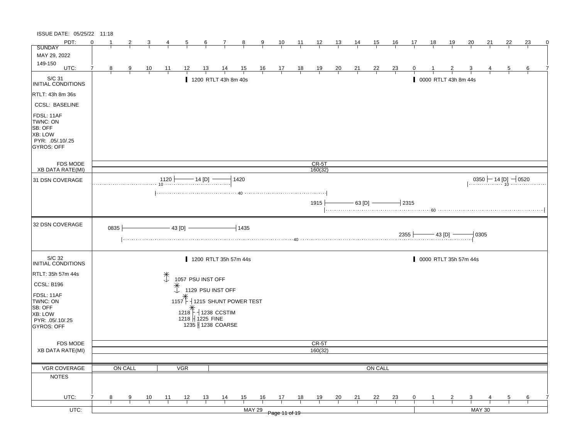| ISSUE DATE: 05/25/22 11:18                                                                   |          |      |         |           |                     |                   |           |                              |                       |                |                |                |                |                |                  |                |                |             |          |                      |                       |                                              |    |    |   |
|----------------------------------------------------------------------------------------------|----------|------|---------|-----------|---------------------|-------------------|-----------|------------------------------|-----------------------|----------------|----------------|----------------|----------------|----------------|------------------|----------------|----------------|-------------|----------|----------------------|-----------------------|----------------------------------------------|----|----|---|
| PDT:                                                                                         | $\Omega$ |      |         |           |                     | 5                 | 6         | 7                            | 8                     | 9              | 10             | 11             | 12             | 13             | 14               | 15             | <u>16</u>      | 17          | 18       | <u>19</u>            | 20                    | 21                                           | 22 | 23 | 0 |
| <b>SUNDAY</b>                                                                                |          |      |         |           |                     |                   |           |                              |                       |                |                |                |                |                |                  |                |                |             |          |                      |                       |                                              |    |    |   |
| MAY 29, 2022                                                                                 |          |      |         |           |                     |                   |           |                              |                       |                |                |                |                |                |                  |                |                |             |          |                      |                       |                                              |    |    |   |
| 149-150<br>UTC:                                                                              | 7        | 8    | 9       | <u>10</u> | $\frac{11}{1}$      | 12                | 13        | 14                           | $\frac{15}{1}$        | $\frac{16}{1}$ | $\frac{17}{1}$ | $\frac{18}{1}$ | $\frac{19}{1}$ | $\frac{20}{1}$ | 21               | <u>22</u>      | $\frac{23}{ }$ |             |          |                      |                       |                                              |    | 6  |   |
| S/C 31<br>INITIAL CONDITIONS                                                                 |          |      |         |           |                     |                   |           | 1200 RTLT 43h 8m 40s         |                       |                |                |                |                |                |                  |                |                |             |          | 0000 RTLT 43h 8m 44s |                       |                                              |    |    |   |
| RTLT: 43h 8m 36s                                                                             |          |      |         |           |                     |                   |           |                              |                       |                |                |                |                |                |                  |                |                |             |          |                      |                       |                                              |    |    |   |
| <b>CCSL: BASELINE</b>                                                                        |          |      |         |           |                     |                   |           |                              |                       |                |                |                |                |                |                  |                |                |             |          |                      |                       |                                              |    |    |   |
| FDSL: 11AF<br>TWNC: ON<br>SB: OFF<br><b>XB: LOW</b><br>PYR: .05/.10/.25<br><b>GYROS: OFF</b> |          |      |         |           |                     |                   |           |                              |                       |                |                |                |                |                |                  |                |                |             |          |                      |                       |                                              |    |    |   |
| <b>FDS MODE</b>                                                                              |          |      |         |           |                     |                   |           |                              |                       |                |                |                | $CR-5T$        |                |                  |                |                |             |          |                      |                       |                                              |    |    |   |
| <b>XB DATA RATE(MI)</b>                                                                      |          |      |         |           |                     |                   |           |                              |                       |                |                |                | 160(32)        |                |                  |                |                |             |          |                      |                       |                                              |    |    |   |
| 31 DSN COVERAGE                                                                              |          |      |         |           | 1120                |                   | $-14$ [D] |                              | 1420                  |                |                |                |                |                |                  |                |                |             |          |                      |                       | $0350$ $\leftarrow$ 14 [D] $\leftarrow$ 0520 |    |    |   |
|                                                                                              |          |      |         |           |                     |                   |           |                              |                       |                |                |                | 1915           |                | $63$ [D] $\cdot$ |                |                | $+2315$     |          |                      |                       |                                              |    |    |   |
| 32 DSN COVERAGE                                                                              |          | 0835 |         |           |                     | 43 [D]            |           |                              | $-1435$               |                |                |                |                |                |                  |                |                | $2355 \mid$ | – 43 [D] |                      | $+0305$               |                                              |    |    |   |
| S/C 32<br>INITIAL CONDITIONS                                                                 |          |      |         |           |                     |                   |           | 1200 RTLT 35h 57m 44s        |                       |                |                |                |                |                |                  |                |                |             |          |                      | 0000 RTLT 35h 57m 44s |                                              |    |    |   |
| RTLT: 35h 57m 44s                                                                            |          |      |         |           | $\ddot{\downarrow}$ |                   |           |                              |                       |                |                |                |                |                |                  |                |                |             |          |                      |                       |                                              |    |    |   |
| CCSL: B196                                                                                   |          |      |         |           |                     | 1057 PSU INST OFF |           |                              |                       |                |                |                |                |                |                  |                |                |             |          |                      |                       |                                              |    |    |   |
| FDSL: 11AF                                                                                   |          |      |         |           | $\ddot{\downarrow}$ |                   |           | 1129 PSU INST OFF            |                       |                |                |                |                |                |                  |                |                |             |          |                      |                       |                                              |    |    |   |
| TWNC: ON                                                                                     |          |      |         |           |                     | $1157 \;$         |           |                              | 1215 SHUNT POWER TEST |                |                |                |                |                |                  |                |                |             |          |                      |                       |                                              |    |    |   |
| SB: OFF                                                                                      |          |      |         |           |                     |                   |           | $1218\sqrt{T}$ + 1238 CCSTIM |                       |                |                |                |                |                |                  |                |                |             |          |                      |                       |                                              |    |    |   |
| XB: LOW<br>PYR: .05/.10/.25                                                                  |          |      |         |           |                     | 1218 + 1225 FINE  |           |                              |                       |                |                |                |                |                |                  |                |                |             |          |                      |                       |                                              |    |    |   |
| <b>GYROS: OFF</b>                                                                            |          |      |         |           |                     |                   |           | 1235 1238 COARSE             |                       |                |                |                |                |                |                  |                |                |             |          |                      |                       |                                              |    |    |   |
|                                                                                              |          |      |         |           |                     |                   |           |                              |                       |                |                |                |                |                |                  |                |                |             |          |                      |                       |                                              |    |    |   |
| <b>FDS MODE</b>                                                                              |          |      |         |           |                     |                   |           |                              |                       |                |                |                | CR-5T          |                |                  |                |                |             |          |                      |                       |                                              |    |    |   |
| <b>XB DATA RATE(MI)</b>                                                                      |          |      |         |           |                     |                   |           |                              |                       |                |                |                | 160(32)        |                |                  |                |                |             |          |                      |                       |                                              |    |    |   |
|                                                                                              |          |      |         |           |                     |                   |           |                              |                       |                |                |                |                |                |                  |                |                |             |          |                      |                       |                                              |    |    |   |
| VGR COVERAGE                                                                                 |          |      | ON CALL |           |                     | VGR               |           |                              |                       |                |                |                |                |                |                  | <b>ON CALL</b> |                |             |          |                      |                       |                                              |    |    |   |
| <b>NOTES</b>                                                                                 |          |      |         |           |                     |                   |           |                              |                       |                |                |                |                |                |                  |                |                |             |          |                      |                       |                                              |    |    |   |
| UTC:                                                                                         | 7        | 8    | 9       | 10        | 11                  | 12                | 13        | $\frac{14}{1}$               | 15                    | 16             | 17             | 18             | 19             | $\frac{20}{}$  | 21               | <u>22</u>      | $\frac{23}{2}$ | 0           |          |                      | 3                     |                                              |    | 6  |   |
|                                                                                              |          |      |         |           |                     |                   |           |                              |                       |                |                |                |                |                |                  |                |                |             |          |                      |                       |                                              |    |    |   |
| $UTC$ :                                                                                      |          |      |         |           |                     |                   |           |                              |                       | <b>MAY 29</b>  | Page 11 of 19  |                |                |                |                  |                |                |             |          |                      |                       | <b>MAY 30</b>                                |    |    |   |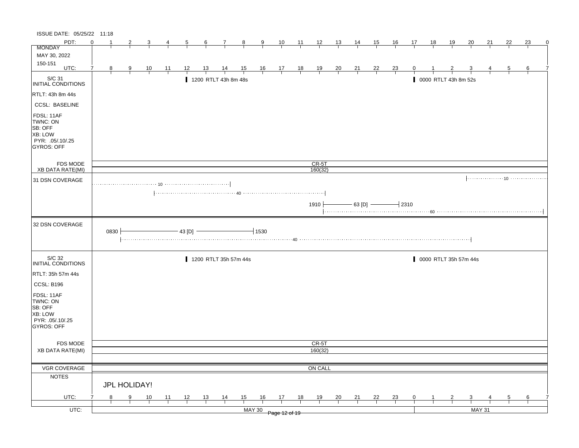| ISSUE DATE: 05/25/22 11:18                                                            |          |      |                |                |                |                |                       |                |                |                                      |                                                                |                |                    |                |                |                |                |                |                |                       |                |               |    |               |   |
|---------------------------------------------------------------------------------------|----------|------|----------------|----------------|----------------|----------------|-----------------------|----------------|----------------|--------------------------------------|----------------------------------------------------------------|----------------|--------------------|----------------|----------------|----------------|----------------|----------------|----------------|-----------------------|----------------|---------------|----|---------------|---|
| PDT:                                                                                  | $\Omega$ | -1   |                | 3              |                | $\overline{5}$ | <u>6</u>              | $\frac{7}{4}$  | $\frac{8}{1}$  | $\frac{9}{5}$                        | $\frac{10}{1}$                                                 | $\frac{11}{1}$ | $\frac{12}{1}$     | $\frac{13}{2}$ | $\frac{14}{1}$ | $\frac{15}{1}$ | $\frac{16}{1}$ | $\frac{17}{1}$ | $\frac{18}{1}$ | $\frac{19}{1}$        | $\frac{20}{ }$ | 21            | 22 | 23            | 0 |
| <b>MONDAY</b>                                                                         |          |      |                |                |                |                |                       |                |                |                                      |                                                                |                |                    |                |                |                |                |                |                |                       |                |               |    |               |   |
| MAY 30, 2022                                                                          |          |      |                |                |                |                |                       |                |                |                                      |                                                                |                |                    |                |                |                |                |                |                |                       |                |               |    |               |   |
| 150-151<br>UTC:                                                                       | 7        | 8    | $\overline{9}$ | $\frac{10}{1}$ | $\frac{11}{1}$ | <u> 12 </u>    | <u> 13 </u>           | $\frac{14}{1}$ | $\frac{15}{1}$ |                                      | $\begin{array}{c cc} 16 & 17 & 18 \\ \hline & & & \end{array}$ |                | $\frac{19}{1}$     | $\frac{20}{1}$ | $\frac{21}{1}$ | $\frac{22}{ }$ | $\frac{23}{1}$ |                |                |                       |                |               |    |               |   |
| S/C 31<br>INITIAL CONDITIONS                                                          |          |      |                |                |                |                | 1200 RTLT 43h 8m 48s  |                |                |                                      |                                                                |                |                    |                |                |                |                |                |                | 0000 RTLT 43h 8m 52s  |                |               |    |               |   |
| <b>RTLT: 43h 8m 44s</b>                                                               |          |      |                |                |                |                |                       |                |                |                                      |                                                                |                |                    |                |                |                |                |                |                |                       |                |               |    |               |   |
| <b>CCSL: BASELINE</b>                                                                 |          |      |                |                |                |                |                       |                |                |                                      |                                                                |                |                    |                |                |                |                |                |                |                       |                |               |    |               |   |
| FDSL: 11AF<br>TWNC: ON<br>SB: OFF<br>XB: LOW<br>PYR: .05/.10/.25<br><b>GYROS: OFF</b> |          |      |                |                |                |                |                       |                |                |                                      |                                                                |                |                    |                |                |                |                |                |                |                       |                |               |    |               |   |
| FDS MODE<br><b>XB DATA RATE(MI)</b>                                                   |          |      |                |                |                |                |                       |                |                |                                      |                                                                |                | $CR-5T$<br>160(32) |                |                |                |                |                |                |                       |                |               |    |               |   |
|                                                                                       |          |      |                |                |                |                |                       |                |                |                                      |                                                                |                |                    |                |                |                |                |                |                |                       |                |               |    |               |   |
| 31 DSN COVERAGE                                                                       |          |      |                |                |                |                |                       |                |                |                                      |                                                                |                |                    |                |                |                |                |                |                |                       |                |               |    |               |   |
|                                                                                       |          |      |                |                |                |                |                       |                |                |                                      |                                                                |                | 1910 ∱             |                |                | $-63$ [D] $-$  | $-12310$       |                |                |                       |                |               |    |               |   |
| 32 DSN COVERAGE                                                                       |          | 0830 |                |                |                | $-43$ [D] $-$  |                       |                |                | $-1530$                              |                                                                |                |                    |                |                |                |                |                |                |                       |                |               |    |               |   |
| S/C 32<br><b>INITIAL CONDITIONS</b>                                                   |          |      |                |                |                |                | 1200 RTLT 35h 57m 44s |                |                |                                      |                                                                |                |                    |                |                |                |                |                |                | 0000 RTLT 35h 57m 44s |                |               |    |               |   |
| RTLT: 35h 57m 44s                                                                     |          |      |                |                |                |                |                       |                |                |                                      |                                                                |                |                    |                |                |                |                |                |                |                       |                |               |    |               |   |
| CCSL: B196                                                                            |          |      |                |                |                |                |                       |                |                |                                      |                                                                |                |                    |                |                |                |                |                |                |                       |                |               |    |               |   |
| FDSL: 11AF<br>TWNC: ON<br>SB: OFF<br>XB: LOW<br>PYR: .05/.10/.25<br><b>GYROS: OFF</b> |          |      |                |                |                |                |                       |                |                |                                      |                                                                |                |                    |                |                |                |                |                |                |                       |                |               |    |               |   |
| FDS MODE                                                                              |          |      |                |                |                |                |                       |                |                |                                      |                                                                |                | CR-5T              |                |                |                |                |                |                |                       |                |               |    |               |   |
| <b>XB DATA RATE(MI)</b>                                                               |          |      |                |                |                |                |                       |                |                |                                      |                                                                |                | 160(32)            |                |                |                |                |                |                |                       |                |               |    |               |   |
|                                                                                       |          |      |                |                |                |                |                       |                |                |                                      |                                                                |                |                    |                |                |                |                |                |                |                       |                |               |    |               |   |
| VGR COVERAGE<br><b>NOTES</b>                                                          |          |      |                |                |                |                |                       |                |                |                                      |                                                                |                | ON CALL            |                |                |                |                |                |                |                       |                |               |    |               |   |
|                                                                                       |          |      | JPL HOLIDAY!   |                |                |                |                       |                |                |                                      |                                                                |                |                    |                |                |                |                |                |                |                       |                |               |    |               |   |
| UTC:                                                                                  |          | 8    | $\frac{9}{1}$  | $\frac{10}{1}$ | $\frac{11}{1}$ | $\frac{12}{ }$ | $\frac{13}{ }$        | $\frac{14}{1}$ | $\frac{15}{1}$ | $\frac{16}{1}$ $\frac{17}{1}$        |                                                                | $\frac{18}{1}$ | $\frac{19}{1}$     | $\frac{20}{1}$ | $\frac{21}{1}$ | $\frac{22}{1}$ | $\frac{23}{1}$ | $\overline{0}$ |                | $\overline{2}$        | $\frac{3}{2}$  |               |    | $\frac{6}{ }$ |   |
| $UTC$ :                                                                               |          |      |                |                |                |                |                       |                |                | $\frac{1}{\sqrt{111}}$ Page 12 of 19 |                                                                |                |                    |                |                |                |                |                |                |                       |                | <b>MAY 31</b> |    |               |   |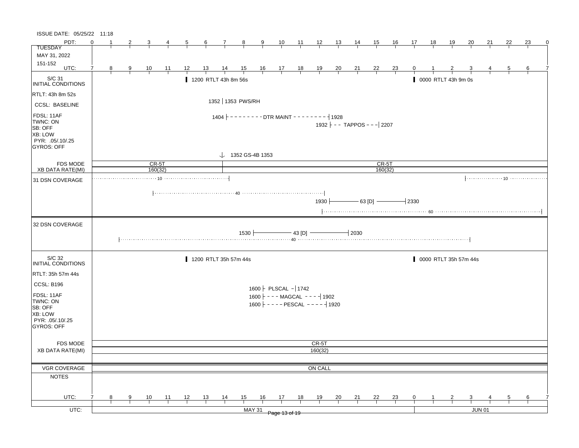| ISSUE DATE: 05/25/22 11:18                                                            |                |                |                |                |              |              |                  |                                                                               |               |                                                                                                   |    |    |                                                                                              |    |                   |                                      |                                                 |                |              |                     |                       |               |                |    |   |
|---------------------------------------------------------------------------------------|----------------|----------------|----------------|----------------|--------------|--------------|------------------|-------------------------------------------------------------------------------|---------------|---------------------------------------------------------------------------------------------------|----|----|----------------------------------------------------------------------------------------------|----|-------------------|--------------------------------------|-------------------------------------------------|----------------|--------------|---------------------|-----------------------|---------------|----------------|----|---|
| PDT:                                                                                  | ∩              |                | $\overline{2}$ | 3              | $\frac{4}{}$ | $\frac{5}{}$ | $6 \overline{6}$ | $\frac{7}{2}$                                                                 | $\frac{8}{ }$ | 9                                                                                                 |    |    | $\begin{array}{ccccccccc}\n10 & 11 & 12 & 13 & 14 \\ \hline\n-1 & -1 & -1 & -1\n\end{array}$ |    |                   | <u>__ 15 __</u>                      | <u>__ 16 __</u>                                 | $\frac{17}{1}$ | <u>__ 18</u> | $\frac{19}{2}$      | $\overline{20}$       | 21            | 22             | 23 | 0 |
| <b>TUESDAY</b>                                                                        |                |                |                |                |              |              |                  |                                                                               |               |                                                                                                   |    |    |                                                                                              |    |                   |                                      |                                                 |                |              |                     |                       |               |                |    |   |
| MAY 31, 2022                                                                          |                |                |                |                |              |              |                  |                                                                               |               |                                                                                                   |    |    |                                                                                              |    |                   |                                      |                                                 |                |              |                     |                       |               |                |    |   |
| 151-152<br>UTC:                                                                       | $\overline{7}$ | 8 <sup>8</sup> | $\frac{9}{1}$  | $\frac{10}{1}$ | <u> 11 </u>  | 12           | <u> 13 </u>      | $\frac{14}{1}$                                                                |               | $\begin{array}{ccccccccc}\n15 & 16 & 17 & 18 & 19 \\ \hline\n-1 & -1 & -1 & -1 & -1\n\end{array}$ |    |    |                                                                                              |    | $\frac{20}{1}$ 21 | $\frac{22}{ }$                       | $\frac{23}{1}$                                  | $\bf{0}$       |              |                     |                       |               | $\overline{5}$ | 6  |   |
|                                                                                       |                |                |                |                |              |              |                  |                                                                               |               |                                                                                                   |    |    |                                                                                              |    |                   |                                      |                                                 |                |              |                     |                       |               |                |    |   |
| S/C 31<br>INITIAL CONDITIONS                                                          |                |                |                |                |              |              |                  | 1200 RTLT 43h 8m 56s                                                          |               |                                                                                                   |    |    |                                                                                              |    |                   |                                      |                                                 |                |              | 0000 RTLT 43h 9m 0s |                       |               |                |    |   |
| RTLT: 43h 8m 52s                                                                      |                |                |                |                |              |              |                  | 1352 1353 PWS/RH                                                              |               |                                                                                                   |    |    |                                                                                              |    |                   |                                      |                                                 |                |              |                     |                       |               |                |    |   |
| <b>CCSL: BASELINE</b>                                                                 |                |                |                |                |              |              |                  |                                                                               |               |                                                                                                   |    |    |                                                                                              |    |                   |                                      |                                                 |                |              |                     |                       |               |                |    |   |
| FDSL: 11AF<br>TWNC: ON<br>SB: OFF<br>XB: LOW<br>PYR: .05/.10/.25<br><b>GYROS: OFF</b> |                |                |                |                |              |              |                  | $1404$ $\leftarrow$ - - - - - - - DTR MAINT - - - - - - - - $\leftarrow$ 1928 |               |                                                                                                   |    |    |                                                                                              |    |                   | $1932$ $\vert$ - - TAPPOS - - - 2207 |                                                 |                |              |                     |                       |               |                |    |   |
|                                                                                       |                |                |                |                |              |              |                  |                                                                               |               | $\downarrow$ 1352 GS-4B 1353                                                                      |    |    |                                                                                              |    |                   |                                      |                                                 |                |              |                     |                       |               |                |    |   |
| <b>FDS MODE</b><br>XB DATA RATE(MI)                                                   |                |                |                | CR-5T          | 160(32)      |              |                  |                                                                               |               |                                                                                                   |    |    |                                                                                              |    |                   |                                      | $CR-5T$<br>160(32)                              |                |              |                     |                       |               |                |    |   |
|                                                                                       |                |                |                |                |              |              |                  |                                                                               |               |                                                                                                   |    |    |                                                                                              |    |                   |                                      |                                                 |                |              |                     |                       |               |                |    |   |
| 31 DSN COVERAGE                                                                       |                |                |                |                |              |              |                  |                                                                               |               |                                                                                                   |    |    |                                                                                              |    |                   |                                      |                                                 |                |              |                     |                       |               |                |    |   |
|                                                                                       |                |                |                |                |              |              |                  |                                                                               |               |                                                                                                   |    |    | 1930 $\vdash$                                                                                |    |                   |                                      | $\longrightarrow$ 63 [D] $\longrightarrow$ 2330 |                |              |                     |                       |               |                |    |   |
| 32 DSN COVERAGE                                                                       |                |                |                |                |              |              |                  |                                                                               |               |                                                                                                   |    |    |                                                                                              |    |                   |                                      |                                                 |                |              |                     |                       |               |                |    |   |
|                                                                                       |                |                |                |                |              |              |                  |                                                                               | 1530          |                                                                                                   |    |    | $-43$ [D] $-$                                                                                |    | $-12030$          |                                      |                                                 |                |              |                     |                       |               |                |    |   |
| S/C 32<br>INITIAL CONDITIONS                                                          |                |                |                |                |              |              |                  | 1200 RTLT 35h 57m 44s                                                         |               |                                                                                                   |    |    |                                                                                              |    |                   |                                      |                                                 |                |              |                     | 0000 RTLT 35h 57m 44s |               |                |    |   |
| RTLT: 35h 57m 44s                                                                     |                |                |                |                |              |              |                  |                                                                               |               |                                                                                                   |    |    |                                                                                              |    |                   |                                      |                                                 |                |              |                     |                       |               |                |    |   |
| <b>CCSL: B196</b>                                                                     |                |                |                |                |              |              |                  |                                                                               |               |                                                                                                   |    |    |                                                                                              |    |                   |                                      |                                                 |                |              |                     |                       |               |                |    |   |
|                                                                                       |                |                |                |                |              |              |                  |                                                                               |               | $1600$   PLSCAL - 1742                                                                            |    |    |                                                                                              |    |                   |                                      |                                                 |                |              |                     |                       |               |                |    |   |
| FDSL: 11AF<br>TWNC: ON                                                                |                |                |                |                |              |              |                  |                                                                               |               | $1600$ $\vert$ - - - MAGCAL - - - $\vert$ 1902                                                    |    |    |                                                                                              |    |                   |                                      |                                                 |                |              |                     |                       |               |                |    |   |
| SB: OFF                                                                               |                |                |                |                |              |              |                  |                                                                               |               | $1600$ $\vdash$ - - - - PESCAL - - - - $\vert$ 1920                                               |    |    |                                                                                              |    |                   |                                      |                                                 |                |              |                     |                       |               |                |    |   |
| XB: LOW                                                                               |                |                |                |                |              |              |                  |                                                                               |               |                                                                                                   |    |    |                                                                                              |    |                   |                                      |                                                 |                |              |                     |                       |               |                |    |   |
| PYR: .05/.10/.25                                                                      |                |                |                |                |              |              |                  |                                                                               |               |                                                                                                   |    |    |                                                                                              |    |                   |                                      |                                                 |                |              |                     |                       |               |                |    |   |
| <b>GYROS: OFF</b>                                                                     |                |                |                |                |              |              |                  |                                                                               |               |                                                                                                   |    |    |                                                                                              |    |                   |                                      |                                                 |                |              |                     |                       |               |                |    |   |
|                                                                                       |                |                |                |                |              |              |                  |                                                                               |               |                                                                                                   |    |    |                                                                                              |    |                   |                                      |                                                 |                |              |                     |                       |               |                |    |   |
| <b>FDS MODE</b><br>XB DATA RATE(MI)                                                   |                |                |                |                |              |              |                  |                                                                               |               |                                                                                                   |    |    | CR-5T<br>160(32)                                                                             |    |                   |                                      |                                                 |                |              |                     |                       |               |                |    |   |
|                                                                                       |                |                |                |                |              |              |                  |                                                                               |               |                                                                                                   |    |    |                                                                                              |    |                   |                                      |                                                 |                |              |                     |                       |               |                |    |   |
| VGR COVERAGE                                                                          |                |                |                |                |              |              |                  |                                                                               |               |                                                                                                   |    |    | ON CALL                                                                                      |    |                   |                                      |                                                 |                |              |                     |                       |               |                |    |   |
| <b>NOTES</b>                                                                          |                |                |                |                |              |              |                  |                                                                               |               |                                                                                                   |    |    |                                                                                              |    |                   |                                      |                                                 |                |              |                     |                       |               |                |    |   |
|                                                                                       |                |                |                |                |              |              |                  |                                                                               |               |                                                                                                   |    |    |                                                                                              |    |                   |                                      |                                                 |                |              |                     |                       |               |                |    |   |
| UTC:                                                                                  | 7              | 8              | 9              | 10             | 11           | 12           | 13               | $\frac{14}{1}$                                                                | 15            | 16                                                                                                | 17 | 18 | 19                                                                                           | 20 | 21                | 22                                   | <u>23</u>                                       | $\mathbf{0}$   |              |                     | 3                     |               | 5              | 6  |   |
|                                                                                       |                |                |                |                |              |              |                  |                                                                               |               |                                                                                                   |    |    |                                                                                              |    |                   |                                      |                                                 |                |              |                     |                       |               |                |    |   |
| UTC:                                                                                  |                |                |                |                |              |              |                  |                                                                               |               | <b>MAY 31</b>                                                                                     |    |    |                                                                                              |    |                   |                                      |                                                 |                |              |                     |                       | <b>JUN 01</b> |                |    |   |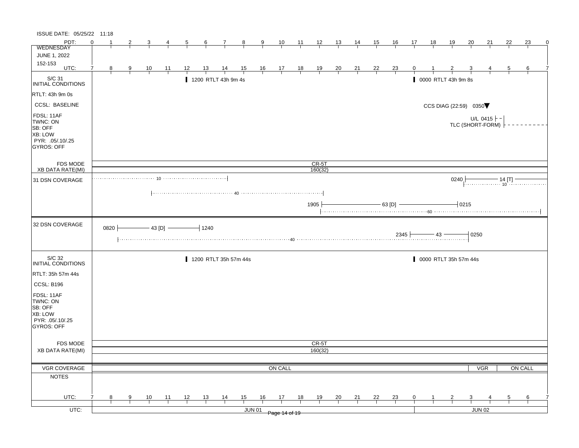| ISSUE DATE: 05/25/22 11:18                                                            |          |      |               |                |                |                     |                |                       |               |               |                |                |                |                |                |                |                |              |                |                     |                         |                                                                                                                    |                |                  |   |
|---------------------------------------------------------------------------------------|----------|------|---------------|----------------|----------------|---------------------|----------------|-----------------------|---------------|---------------|----------------|----------------|----------------|----------------|----------------|----------------|----------------|--------------|----------------|---------------------|-------------------------|--------------------------------------------------------------------------------------------------------------------|----------------|------------------|---|
| PDT:                                                                                  | $\Omega$ |      |               |                |                | $\overline{5}$      | $\frac{6}{ }$  | $\frac{7}{ }$         | $\frac{8}{ }$ | $\frac{9}{1}$ | $\frac{10}{1}$ | $\frac{11}{1}$ | $\frac{12}{ }$ | $\frac{13}{ }$ | $\frac{14}{1}$ | $\frac{15}{1}$ | $\frac{16}{1}$ | 17           | $\frac{18}{1}$ | <u> 19</u>          | $\frac{20}{ }$          | <u>21</u>                                                                                                          | 22             | 23               | 0 |
| WEDNESDAY<br>JUNE 1, 2022                                                             |          |      |               |                |                |                     |                |                       |               |               |                |                |                |                |                |                |                |              |                |                     |                         |                                                                                                                    |                |                  |   |
| 152-153                                                                               |          |      |               |                |                |                     |                |                       |               |               |                |                |                |                |                |                |                |              |                |                     |                         |                                                                                                                    |                |                  |   |
| UTC:                                                                                  | 7        | 8    | $\frac{9}{1}$ | $\frac{10}{ }$ | $\frac{11}{1}$ | $\frac{12}{1}$      | $\frac{13}{ }$ |                       |               |               |                |                | $\frac{19}{1}$ | $\frac{20}{}$  | $\frac{21}{1}$ | $\frac{22}{1}$ | $\frac{23}{}$  |              |                |                     |                         |                                                                                                                    | $\overline{5}$ | 6                |   |
| S/C 31<br>INITIAL CONDITIONS                                                          |          |      |               |                |                |                     |                | 1200 RTLT 43h 9m 4s   |               |               |                |                |                |                |                |                |                |              |                | 0000 RTLT 43h 9m 8s |                         |                                                                                                                    |                |                  |   |
| RTLT: 43h 9m 0s                                                                       |          |      |               |                |                |                     |                |                       |               |               |                |                |                |                |                |                |                |              |                |                     |                         |                                                                                                                    |                |                  |   |
| <b>CCSL: BASELINE</b>                                                                 |          |      |               |                |                |                     |                |                       |               |               |                |                |                |                |                |                |                |              |                |                     | CCS DIAG (22:59) 0350   |                                                                                                                    |                |                  |   |
| FDSL: 11AF<br>TWNC: ON<br>SB: OFF<br>XB: LOW<br>PYR: .05/.10/.25<br><b>GYROS: OFF</b> |          |      |               |                |                |                     |                |                       |               |               |                |                |                |                |                |                |                |              |                |                     |                         | U/L 0415 $\vdash$ -<br>TLC (SHORT-FORM)                                                                            |                |                  |   |
| FDS MODE                                                                              |          |      |               |                |                |                     |                |                       |               |               |                |                | $CR-5T$        |                |                |                |                |              |                |                     |                         |                                                                                                                    |                |                  |   |
| <b>XB DATA RATE(MI)</b>                                                               |          |      |               |                |                |                     |                |                       |               |               |                |                | 160(32)        |                |                |                |                |              |                |                     |                         |                                                                                                                    |                |                  |   |
| 31 DSN COVERAGE                                                                       |          |      |               |                |                |                     |                |                       |               |               |                |                |                |                |                |                |                |              |                | 0240                |                         | $\begin{array}{c}\n\hline\n\end{array}\n\qquad 14 [\text{T}] \begin{array}{c}\n\text{---}\n\end{array}\n\qquad 10$ |                |                  |   |
|                                                                                       |          |      |               |                |                |                     |                |                       |               |               |                |                | 1905           |                |                |                | $-$ 63 [D] $-$ |              |                |                     | 10215                   |                                                                                                                    |                |                  |   |
| 32 DSN COVERAGE                                                                       |          | 0820 |               |                |                | $-$ 43 [D] $-$ 1240 |                |                       |               |               |                |                |                |                |                |                |                |              |                |                     | $-10250$                |                                                                                                                    |                |                  |   |
| S/C 32<br>INITIAL CONDITIONS                                                          |          |      |               |                |                |                     |                | 1200 RTLT 35h 57m 44s |               |               |                |                |                |                |                |                |                |              |                |                     | 0000 RTLT 35h 57m 44s   |                                                                                                                    |                |                  |   |
| RTLT: 35h 57m 44s                                                                     |          |      |               |                |                |                     |                |                       |               |               |                |                |                |                |                |                |                |              |                |                     |                         |                                                                                                                    |                |                  |   |
| CCSL: B196                                                                            |          |      |               |                |                |                     |                |                       |               |               |                |                |                |                |                |                |                |              |                |                     |                         |                                                                                                                    |                |                  |   |
| FDSL: 11AF<br>TWNC: ON<br>SB: OFF<br>XB: LOW<br>PYR: .05/.10/.25<br><b>GYROS: OFF</b> |          |      |               |                |                |                     |                |                       |               |               |                |                |                |                |                |                |                |              |                |                     |                         |                                                                                                                    |                |                  |   |
| FDS MODE                                                                              |          |      |               |                |                |                     |                |                       |               |               |                |                | CR-5T          |                |                |                |                |              |                |                     |                         |                                                                                                                    |                |                  |   |
| <b>XB DATA RATE(MI)</b>                                                               |          |      |               |                |                |                     |                |                       |               |               |                |                | 160(32)        |                |                |                |                |              |                |                     |                         |                                                                                                                    |                |                  |   |
|                                                                                       |          |      |               |                |                |                     |                |                       |               |               |                |                |                |                |                |                |                |              |                |                     |                         |                                                                                                                    |                |                  |   |
| <b>VGR COVERAGE</b>                                                                   |          |      |               |                |                |                     |                |                       |               |               | ON CALL        |                |                |                |                |                |                |              |                |                     |                         | <b>VGR</b>                                                                                                         |                | ON CALL          |   |
| <b>NOTES</b>                                                                          |          |      |               |                |                |                     |                |                       |               |               |                |                |                |                |                |                |                |              |                |                     |                         |                                                                                                                    |                |                  |   |
| UTC:                                                                                  |          | 8    | 9             | $\frac{10}{1}$ | $\frac{11}{1}$ | 12                  | $\frac{13}{2}$ | $\frac{14}{1}$        | 15            | 16            | 17             | 18             | <u>19</u>      | $\frac{20}{}$  | $\frac{21}{1}$ | $\frac{22}{1}$ | $\frac{23}{1}$ | $\mathbf{0}$ |                |                     | $\overline{\mathbf{3}}$ |                                                                                                                    | $\overline{5}$ | $6 \overline{6}$ |   |
| $UTC$ :                                                                               |          |      |               |                |                |                     |                |                       |               | <b>JUN 01</b> |                |                |                |                |                |                |                |              |                |                     |                         | JUN 02                                                                                                             |                |                  |   |
|                                                                                       |          |      |               |                |                |                     |                |                       |               |               | Page 14 of 19  |                |                |                |                |                |                |              |                |                     |                         |                                                                                                                    |                |                  |   |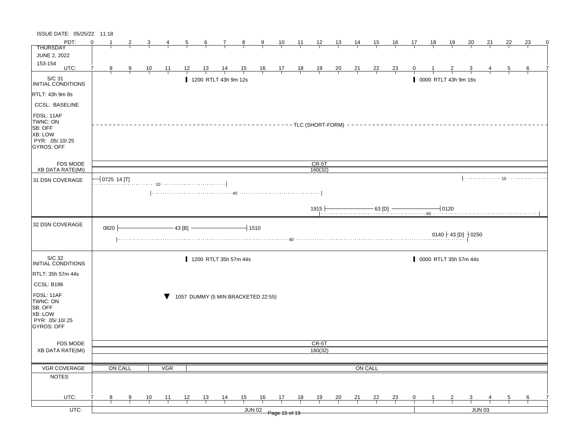| ISSUE DATE: 05/25/22 11:18                                                           |          |               |               |                |            |           |                 |                       |                                    |               |                                                      |                 |                |                      |                |         |                |    |    |                       |                                  |                                                                                  |    |    |   |
|--------------------------------------------------------------------------------------|----------|---------------|---------------|----------------|------------|-----------|-----------------|-----------------------|------------------------------------|---------------|------------------------------------------------------|-----------------|----------------|----------------------|----------------|---------|----------------|----|----|-----------------------|----------------------------------|----------------------------------------------------------------------------------|----|----|---|
| PDT:                                                                                 | $\Omega$ |               |               |                |            | 5         | $6\overline{6}$ | $\mathbf{7}$          | 8                                  | 9             | 10                                                   | $\overline{11}$ | $\frac{12}{ }$ | <u> 13  </u>         | $\frac{14}{1}$ | 15      | 16             | 17 | 18 | <u>19</u>             | <u>20</u>                        | 21                                                                               | 22 | 23 | 0 |
| <b>THURSDAY</b>                                                                      |          |               |               |                |            |           |                 |                       |                                    |               |                                                      |                 |                |                      |                |         |                |    |    |                       |                                  |                                                                                  |    |    |   |
| <b>JUNE 2, 2022</b><br>153-154                                                       |          |               |               |                |            |           |                 |                       |                                    |               |                                                      |                 |                |                      |                |         |                |    |    |                       |                                  |                                                                                  |    |    |   |
| UTC:                                                                                 | 7        | 8             | $\frac{9}{2}$ | $\frac{10}{1}$ | 11         | 12        | 13              | 14                    | $\frac{15}{1}$                     |               | $\begin{array}{c c}\n16 & 17 \\ \hline\n\end{array}$ | $\frac{18}{1}$  | $\frac{19}{1}$ | $\frac{20}{1}$       | $\frac{21}{1}$ | 22      | $\frac{23}{1}$ | 0  |    |                       |                                  |                                                                                  | 5  | 6  |   |
| $\vert$ S/C 31<br>INITIAL CONDITIONS                                                 |          |               |               |                |            |           |                 | 1200 RTLT 43h 9m 12s  |                                    |               |                                                      |                 |                |                      |                |         |                |    |    | 0000 RTLT 43h 9m 16s  |                                  |                                                                                  |    |    |   |
| <b>RTLT: 43h 9m 8s</b>                                                               |          |               |               |                |            |           |                 |                       |                                    |               |                                                      |                 |                |                      |                |         |                |    |    |                       |                                  |                                                                                  |    |    |   |
| <b>CCSL: BASELINE</b>                                                                |          |               |               |                |            |           |                 |                       |                                    |               |                                                      |                 |                |                      |                |         |                |    |    |                       |                                  |                                                                                  |    |    |   |
| FDSL: 11AF<br>TWNC: ON<br>SB: OFF<br>XB: LOW<br>PYR: 05/.10/.25<br><b>GYROS: OFF</b> |          |               |               |                |            |           |                 |                       |                                    |               |                                                      |                 |                | - TLC (SHORT-FORM) - |                |         |                |    |    |                       |                                  |                                                                                  |    |    |   |
| <b>FDS MODE</b>                                                                      |          |               |               |                |            |           |                 |                       |                                    |               |                                                      |                 | $CR-5T$        |                      |                |         |                |    |    |                       |                                  |                                                                                  |    |    |   |
| XB DATA RATE(MI)                                                                     |          |               |               |                |            |           |                 |                       |                                    |               |                                                      |                 | 160(32)        |                      |                |         |                |    |    |                       |                                  |                                                                                  |    |    |   |
| 31 DSN COVERAGE                                                                      |          | $0725$ 14 [T] |               |                |            |           |                 |                       |                                    |               |                                                      |                 |                |                      |                |         |                |    |    |                       |                                  |                                                                                  |    |    |   |
| 32 DSN COVERAGE                                                                      |          | 0820          |               |                |            | $-43 [B]$ |                 |                       |                                    | $-1510$       |                                                      |                 | 1915           |                      |                |         |                |    |    |                       | 0140 + 43 [D] $\frac{1}{2}$ 0250 | 63 [D] $\frac{63 \text{ [D]}}{60 \text{ [D]}}$ [D] $\frac{0120}{60 \text{ [D]}}$ |    |    |   |
| S/C 32<br>INITIAL CONDITIONS                                                         |          |               |               |                |            |           |                 | 1200 RTLT 35h 57m 44s |                                    |               |                                                      |                 |                |                      |                |         |                |    |    | 0000 RTLT 35h 57m 44s |                                  |                                                                                  |    |    |   |
| RTLT: 35h 57m 44s                                                                    |          |               |               |                |            |           |                 |                       |                                    |               |                                                      |                 |                |                      |                |         |                |    |    |                       |                                  |                                                                                  |    |    |   |
| CCSL: B196                                                                           |          |               |               |                |            |           |                 |                       |                                    |               |                                                      |                 |                |                      |                |         |                |    |    |                       |                                  |                                                                                  |    |    |   |
| FDSL: 11AF<br>TWNC: ON<br>SB: OFF<br>XB: LOW<br>PYR: .05/.10/.25<br>GYROS: OFF       |          |               |               |                |            |           |                 |                       | 1057 DUMMY (5 MIN BRACKETED 22:55) |               |                                                      |                 |                |                      |                |         |                |    |    |                       |                                  |                                                                                  |    |    |   |
| <b>FDS MODE</b>                                                                      |          |               |               |                |            |           |                 |                       |                                    |               |                                                      |                 | CR-5T          |                      |                |         |                |    |    |                       |                                  |                                                                                  |    |    |   |
| <b>XB DATA RATE(MI)</b>                                                              |          |               |               |                |            |           |                 |                       |                                    |               |                                                      |                 | 160(32)        |                      |                |         |                |    |    |                       |                                  |                                                                                  |    |    |   |
|                                                                                      |          |               |               |                |            |           |                 |                       |                                    |               |                                                      |                 |                |                      |                |         |                |    |    |                       |                                  |                                                                                  |    |    |   |
| VGR COVERAGE                                                                         |          | ON CALL       |               |                | <b>VGR</b> |           |                 |                       |                                    |               |                                                      |                 |                |                      |                | ON CALL |                |    |    |                       |                                  |                                                                                  |    |    |   |
| <b>NOTES</b>                                                                         |          |               |               |                |            |           |                 |                       |                                    |               |                                                      |                 |                |                      |                |         |                |    |    |                       |                                  |                                                                                  |    |    |   |
| UTC:                                                                                 | 7        | 8             | 9             | 10             | 11         | 12        | 13              | 14                    | 15                                 | 16            | 17                                                   | 18              | 19             | 20                   | 21             | 22      | <u>23</u>      | 0  |    |                       | 3                                |                                                                                  | 5  | 6  |   |
| UTC:                                                                                 |          |               |               |                |            |           |                 |                       |                                    | <b>JUN 02</b> |                                                      |                 |                |                      |                |         |                |    |    |                       |                                  | <b>JUN 03</b>                                                                    |    |    |   |
|                                                                                      |          |               |               |                |            |           |                 |                       |                                    |               | Page 15 of 19                                        |                 |                |                      |                |         |                |    |    |                       |                                  |                                                                                  |    |    |   |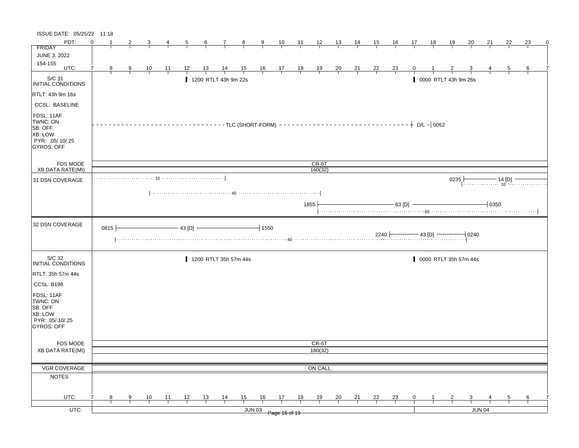| ISSUE DATE: 05/25/22 11:18                                                                   |          |                |   |                |                |          |                  |                       |               |                                                                                      |                |                |                |                |                |                |                |              |                |                      |                         |          |                |    |
|----------------------------------------------------------------------------------------------|----------|----------------|---|----------------|----------------|----------|------------------|-----------------------|---------------|--------------------------------------------------------------------------------------|----------------|----------------|----------------|----------------|----------------|----------------|----------------|--------------|----------------|----------------------|-------------------------|----------|----------------|----|
| PDT:                                                                                         | $\Omega$ |                |   | 3              | 4              |          | $6 \overline{6}$ | $\mathcal{I}$         | $\frac{8}{1}$ | $\frac{9}{2}$                                                                        | $\frac{10}{1}$ | $\frac{11}{1}$ | $\frac{12}{ }$ | $\frac{13}{ }$ | <u>14</u>      | 15             | <u>16</u>      | 17           | 18             | <u> 19</u>           | 20                      | 21       | 22             | 23 |
| <b>FRIDAY</b>                                                                                |          |                |   |                |                |          |                  |                       |               |                                                                                      |                |                |                |                |                |                |                |              |                |                      |                         |          |                |    |
| JUNE 3, 2022                                                                                 |          |                |   |                |                |          |                  |                       |               |                                                                                      |                |                |                |                |                |                |                |              |                |                      |                         |          |                |    |
| 154-155<br>UTC:                                                                              |          |                |   |                |                |          |                  |                       |               |                                                                                      |                |                |                |                |                |                |                |              |                |                      |                         |          |                |    |
|                                                                                              | 7        | 8 <sup>8</sup> | 9 | $\frac{10}{1}$ | $\frac{11}{1}$ | 12       | $\frac{13}{2}$   | $\frac{14}{1}$        |               | $\begin{array}{cccccccc} 15 & 16 & 17 & 18 & 19 \\ \hline & & & & & & & \end{array}$ |                |                |                | $\frac{20}{1}$ | $\frac{21}{}$  | $\frac{22}{1}$ | $\frac{23}{1}$ | $\mathbf{0}$ |                |                      |                         |          | $\overline{5}$ | 6  |
| S/C 31<br>INITIAL CONDITIONS                                                                 |          |                |   |                |                |          |                  | 1200 RTLT 43h 9m 22s  |               |                                                                                      |                |                |                |                |                |                |                |              |                | 0000 RTLT 43h 9m 26s |                         |          |                |    |
| RTLT: 43h 9m 16s                                                                             |          |                |   |                |                |          |                  |                       |               |                                                                                      |                |                |                |                |                |                |                |              |                |                      |                         |          |                |    |
| <b>CCSL: BASELINE</b>                                                                        |          |                |   |                |                |          |                  |                       |               |                                                                                      |                |                |                |                |                |                |                |              |                |                      |                         |          |                |    |
| FDSL: 11AF<br>TWNC: ON<br>SB: OFF<br><b>XB: LOW</b><br>PYR: .05/.10/.25<br><b>GYROS: OFF</b> |          |                |   |                |                |          |                  |                       |               |                                                                                      |                |                |                |                |                |                |                |              |                |                      |                         |          |                |    |
| <b>FDS MODE</b>                                                                              |          |                |   |                |                |          |                  |                       |               |                                                                                      |                |                | $CR-5T$        |                |                |                |                |              |                |                      |                         |          |                |    |
| <b>XB DATA RATE(MI)</b>                                                                      |          |                |   |                |                |          |                  |                       |               |                                                                                      |                |                | 160(32)        |                |                |                |                |              |                |                      |                         |          |                |    |
| 31 DSN COVERAGE                                                                              |          |                |   |                |                |          |                  |                       |               |                                                                                      |                |                |                |                |                |                |                |              |                | 0235                 |                         |          |                |    |
|                                                                                              |          |                |   |                |                |          |                  |                       |               |                                                                                      |                |                | 1855           |                |                |                | $-63$ [D] $-$  |              |                |                      |                         | $+$ 0350 |                |    |
| 32 DSN COVERAGE                                                                              |          | 0815           |   |                |                | - 43 [D] |                  |                       |               | $-1550$                                                                              |                |                |                |                |                | $2240$ $-$     |                |              | $-$ 43 [D] $-$ |                      | 0240                    |          |                |    |
| S/C 32<br>INITIAL CONDITIONS                                                                 |          |                |   |                |                |          |                  | 1200 RTLT 35h 57m 44s |               |                                                                                      |                |                |                |                |                |                |                |              |                |                      | 0000 RTLT 35h 57m 44s   |          |                |    |
| RTLT: 35h 57m 44s                                                                            |          |                |   |                |                |          |                  |                       |               |                                                                                      |                |                |                |                |                |                |                |              |                |                      |                         |          |                |    |
| CCSL: B196                                                                                   |          |                |   |                |                |          |                  |                       |               |                                                                                      |                |                |                |                |                |                |                |              |                |                      |                         |          |                |    |
| FDSL: 11AF<br>TWNC: ON<br>SB: OFF<br><b>XB: LOW</b><br>PYR: .05/.10/.25<br>GYROS: OFF        |          |                |   |                |                |          |                  |                       |               |                                                                                      |                |                |                |                |                |                |                |              |                |                      |                         |          |                |    |
| FDS MODE                                                                                     |          |                |   |                |                |          |                  |                       |               |                                                                                      |                |                | CR-5T          |                |                |                |                |              |                |                      |                         |          |                |    |
| <b>XB DATA RATE(MI)</b>                                                                      |          |                |   |                |                |          |                  |                       |               |                                                                                      |                |                | 160(32)        |                |                |                |                |              |                |                      |                         |          |                |    |
|                                                                                              |          |                |   |                |                |          |                  |                       |               |                                                                                      |                |                |                |                |                |                |                |              |                |                      |                         |          |                |    |
| VGR COVERAGE                                                                                 |          |                |   |                |                |          |                  |                       |               |                                                                                      |                |                | ON CALL        |                |                |                |                |              |                |                      |                         |          |                |    |
| <b>NOTES</b>                                                                                 |          |                |   |                |                |          |                  |                       |               |                                                                                      |                |                |                |                |                |                |                |              |                |                      |                         |          |                |    |
|                                                                                              |          |                |   |                |                |          |                  |                       |               |                                                                                      |                |                |                |                |                |                |                |              |                |                      |                         |          |                |    |
| UTC:                                                                                         |          | 8              | 9 | 10             | $-11$          | 12       | 13               | $\frac{14}{1}$        | 15            | 16                                                                                   | 17             | 18             | 19             | $\frac{20}{1}$ | $\frac{21}{1}$ | 22             | $\frac{23}{7}$ | 0            |                | $\overline{2}$       | $\overline{\mathbf{3}}$ |          | 5              | 6  |
| $UTC$ :                                                                                      |          |                |   |                |                |          |                  |                       |               | <b>JUN 03</b>                                                                        |                |                |                |                |                |                |                |              |                |                      | JUN 04                  |          |                |    |
|                                                                                              |          |                |   |                |                |          |                  |                       |               |                                                                                      | Page 16 of 19  |                |                |                |                |                |                |              |                |                      |                         |          |                |    |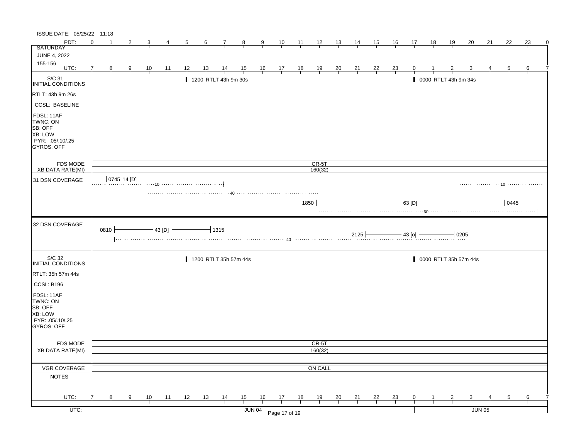| ISSUE DATE: 05/25/22 11:18                                                                   |          |   |             |                |                |    |           |                       |                |               |                                                                |                |                  |                |                |                |                |                |    |                       |                |    |                |    |   |
|----------------------------------------------------------------------------------------------|----------|---|-------------|----------------|----------------|----|-----------|-----------------------|----------------|---------------|----------------------------------------------------------------|----------------|------------------|----------------|----------------|----------------|----------------|----------------|----|-----------------------|----------------|----|----------------|----|---|
| PDT:                                                                                         | $\Omega$ |   |             | 3              | 4              | 5  | 6         | 7                     | $_{8}$         | 9             | 10                                                             | $\frac{11}{2}$ | $\frac{12}{ }$   | 13             | <u>14</u>      | <u>15</u>      | 16             | 17             | 18 | 19                    | 20             | 21 | 22             | 23 | 0 |
| <b>SATURDAY</b>                                                                              |          |   |             |                |                |    |           |                       |                |               |                                                                |                |                  |                |                |                |                |                |    |                       |                |    |                |    |   |
| <b>JUNE 4, 2022</b>                                                                          |          |   |             |                |                |    |           |                       |                |               |                                                                |                |                  |                |                |                |                |                |    |                       |                |    |                |    |   |
| 155-156<br>UTC:                                                                              | 7        |   |             |                |                |    |           |                       |                |               |                                                                |                |                  |                |                |                |                |                |    |                       |                |    |                |    |   |
|                                                                                              |          | 8 | 9           | $\frac{10}{1}$ | $\frac{11}{1}$ | 12 | <u>13</u> | $\frac{14}{1}$        | $\frac{15}{1}$ |               | $\begin{array}{c cc} 16 & 17 & 18 \\ \hline & & & \end{array}$ |                | $\frac{19}{1}$   | $\frac{20}{1}$ | $\frac{21}{1}$ | $\frac{22}{1}$ | $\frac{23}{1}$ | 0              |    |                       |                |    | $\overline{5}$ | 6  |   |
| S/C 31<br>INITIAL CONDITIONS                                                                 |          |   |             |                |                |    |           | 1200 RTLT 43h 9m 30s  |                |               |                                                                |                |                  |                |                |                |                |                |    | 0000 RTLT 43h 9m 34s  |                |    |                |    |   |
| RTLT: 43h 9m 26s                                                                             |          |   |             |                |                |    |           |                       |                |               |                                                                |                |                  |                |                |                |                |                |    |                       |                |    |                |    |   |
| <b>CCSL: BASELINE</b>                                                                        |          |   |             |                |                |    |           |                       |                |               |                                                                |                |                  |                |                |                |                |                |    |                       |                |    |                |    |   |
| FDSL: 11AF<br>TWNC: ON<br>SB: OFF<br><b>XB: LOW</b><br>PYR: .05/.10/.25<br><b>GYROS: OFF</b> |          |   |             |                |                |    |           |                       |                |               |                                                                |                |                  |                |                |                |                |                |    |                       |                |    |                |    |   |
| <b>FDS MODE</b>                                                                              |          |   |             |                |                |    |           |                       |                |               |                                                                |                | $CR-5T$          |                |                |                |                |                |    |                       |                |    |                |    |   |
| <b>XB DATA RATE(MI)</b>                                                                      |          |   |             |                |                |    |           |                       |                |               |                                                                |                | 160(32)          |                |                |                |                |                |    |                       |                |    |                |    |   |
| 31 DSN COVERAGE                                                                              |          |   | 0745 14 [D] |                |                |    |           |                       |                |               |                                                                |                |                  |                |                |                |                |                |    |                       |                |    |                |    |   |
|                                                                                              |          |   |             |                |                |    |           |                       |                |               |                                                                |                |                  |                |                |                |                |                |    |                       |                |    |                |    |   |
|                                                                                              |          |   |             |                |                |    |           |                       |                |               |                                                                |                |                  |                |                |                |                |                |    |                       |                |    |                |    |   |
|                                                                                              |          |   |             |                |                |    |           |                       |                |               |                                                                | 1850           |                  |                |                |                |                | $63$ [D]       |    |                       |                |    | 10445          |    |   |
|                                                                                              |          |   |             |                |                |    |           |                       |                |               |                                                                |                |                  |                |                |                |                |                |    |                       |                |    |                |    |   |
| 32 DSN COVERAGE                                                                              | 0810     |   |             |                | $-43$ [D] $-$  |    |           | $\overline{+}$ 1315   |                |               |                                                                |                |                  |                | 2125           |                |                | $-$ 43 [o] $-$ |    | $-10205$              |                |    |                |    |   |
| S/C 32<br>INITIAL CONDITIONS                                                                 |          |   |             |                |                |    |           | 1200 RTLT 35h 57m 44s |                |               |                                                                |                |                  |                |                |                |                |                |    | 0000 RTLT 35h 57m 44s |                |    |                |    |   |
| RTLT: 35h 57m 44s                                                                            |          |   |             |                |                |    |           |                       |                |               |                                                                |                |                  |                |                |                |                |                |    |                       |                |    |                |    |   |
|                                                                                              |          |   |             |                |                |    |           |                       |                |               |                                                                |                |                  |                |                |                |                |                |    |                       |                |    |                |    |   |
| CCSL: B196                                                                                   |          |   |             |                |                |    |           |                       |                |               |                                                                |                |                  |                |                |                |                |                |    |                       |                |    |                |    |   |
| FDSL: 11AF<br>TWNC: ON<br>SB: OFF<br>XB: LOW<br>PYR: .05/.10/.25<br>GYROS: OFF               |          |   |             |                |                |    |           |                       |                |               |                                                                |                |                  |                |                |                |                |                |    |                       |                |    |                |    |   |
|                                                                                              |          |   |             |                |                |    |           |                       |                |               |                                                                |                |                  |                |                |                |                |                |    |                       |                |    |                |    |   |
| FDS MODE<br><b>XB DATA RATE(MI)</b>                                                          |          |   |             |                |                |    |           |                       |                |               |                                                                |                | CR-5T<br>160(32) |                |                |                |                |                |    |                       |                |    |                |    |   |
|                                                                                              |          |   |             |                |                |    |           |                       |                |               |                                                                |                |                  |                |                |                |                |                |    |                       |                |    |                |    |   |
| VGR COVERAGE                                                                                 |          |   |             |                |                |    |           |                       |                |               |                                                                |                | ON CALL          |                |                |                |                |                |    |                       |                |    |                |    |   |
| <b>NOTES</b>                                                                                 |          |   |             |                |                |    |           |                       |                |               |                                                                |                |                  |                |                |                |                |                |    |                       |                |    |                |    |   |
|                                                                                              |          |   |             |                |                |    |           |                       |                |               |                                                                |                |                  |                |                |                |                |                |    |                       |                |    |                |    |   |
| UTC:                                                                                         |          | 8 | 9           | 10             | $-11$          | 12 | 13        | $\frac{14}{1}$        | 15             | 16            | 17                                                             | 18             | 19               | $\frac{20}{1}$ | $\frac{21}{1}$ | $^{22}$        | $\frac{23}{1}$ | 0              | 1  | $\overline{2}$        | $\overline{3}$ |    | 5              | 6  |   |
|                                                                                              |          |   |             |                |                |    |           |                       |                |               |                                                                |                |                  |                |                |                |                |                |    |                       |                |    |                |    |   |
| $UTC$ :                                                                                      |          |   |             |                |                |    |           |                       |                | <b>JUN 04</b> | Page 17 of 19                                                  |                |                  |                |                |                |                |                |    |                       | JUN 05         |    |                |    |   |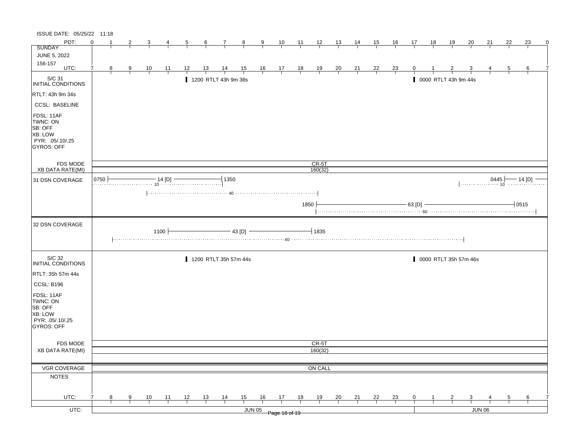| ISSUE DATE: 05/25/22 11:18                                                                   |          |              |               |                |                |    |                  |                       |                |        |                                                                |                |                    |                |                |                |                |             |              |                       |                         |                           |    |                   |
|----------------------------------------------------------------------------------------------|----------|--------------|---------------|----------------|----------------|----|------------------|-----------------------|----------------|--------|----------------------------------------------------------------|----------------|--------------------|----------------|----------------|----------------|----------------|-------------|--------------|-----------------------|-------------------------|---------------------------|----|-------------------|
| PDT:                                                                                         | $\Omega$ | $\mathbf{1}$ | 2             | 3              | 4              | 5  | $6 \overline{6}$ | $\mathbf{7}$          | 8              | 9      | 10                                                             | $\frac{11}{2}$ | $\frac{12}{ }$     | 13             | 14             | 15             | <u>16</u>      | 17          | 18           | <u>19</u>             | 20                      | 21                        | 22 | 23<br>$\mathbf 0$ |
| <b>SUNDAY</b>                                                                                |          |              |               |                |                |    |                  |                       |                |        |                                                                |                |                    |                |                |                |                |             |              |                       |                         |                           |    |                   |
| <b>JUNE 5, 2022</b>                                                                          |          |              |               |                |                |    |                  |                       |                |        |                                                                |                |                    |                |                |                |                |             |              |                       |                         |                           |    |                   |
| 156-157<br>UTC:                                                                              | 7        | 8            | $\frac{9}{1}$ | $\frac{10}{1}$ | <u>_11</u>     | 12 | <u>13</u>        | $\frac{14}{1}$        | $\frac{15}{1}$ |        | $\begin{array}{c cc} 16 & 17 & 18 \\ \hline & & & \end{array}$ |                | $\frac{19}{1}$     | $\frac{20}{1}$ | $\frac{21}{1}$ | $\frac{22}{1}$ | $\frac{23}{1}$ | 0           |              |                       | $\overline{\mathbf{3}}$ |                           | 5  | 6                 |
|                                                                                              |          |              |               |                |                |    |                  |                       |                |        |                                                                |                |                    |                |                |                |                |             |              |                       |                         |                           |    |                   |
| S/C 31<br>INITIAL CONDITIONS                                                                 |          |              |               |                |                |    |                  | 1200 RTLT 43h 9m 38s  |                |        |                                                                |                |                    |                |                |                |                |             |              | 0000 RTLT 43h 9m 44s  |                         |                           |    |                   |
| RTLT: 43h 9m 34s                                                                             |          |              |               |                |                |    |                  |                       |                |        |                                                                |                |                    |                |                |                |                |             |              |                       |                         |                           |    |                   |
| <b>CCSL: BASELINE</b>                                                                        |          |              |               |                |                |    |                  |                       |                |        |                                                                |                |                    |                |                |                |                |             |              |                       |                         |                           |    |                   |
| FDSL: 11AF<br>TWNC: ON<br>SB: OFF<br><b>XB: LOW</b><br>PYR: .05/.10/.25<br><b>GYROS: OFF</b> |          |              |               |                |                |    |                  |                       |                |        |                                                                |                |                    |                |                |                |                |             |              |                       |                         |                           |    |                   |
| <b>FDS MODE</b><br><b>XB DATA RATE(MI)</b>                                                   |          |              |               |                |                |    |                  |                       |                |        |                                                                |                | $CR-5T$<br>160(32) |                |                |                |                |             |              |                       |                         |                           |    |                   |
|                                                                                              | 0750     |              |               |                | $-14$ [D] $-$  |    |                  | 1350                  |                |        |                                                                |                |                    |                |                |                |                |             |              |                       |                         |                           |    |                   |
| 31 DSN COVERAGE                                                                              |          |              |               |                |                |    |                  |                       |                |        |                                                                |                |                    |                |                |                |                |             |              |                       |                         | $[0445 \downarrow 14 [D]$ |    |                   |
|                                                                                              |          |              |               |                |                |    |                  |                       |                |        |                                                                | 1850           |                    |                |                |                |                | 63 [D]      |              |                       |                         |                           |    | 0515              |
| 32 DSN COVERAGE                                                                              |          |              | .             |                | 1100           |    |                  |                       | - 43 [D]       |        |                                                                |                | $-1835$            |                |                |                |                |             |              |                       |                         |                           |    |                   |
| S/C 32<br>INITIAL CONDITIONS                                                                 |          |              |               |                |                |    |                  | 1200 RTLT 35h 57m 44s |                |        |                                                                |                |                    |                |                |                |                |             |              | 0000 RTLT 35h 57m 46s |                         |                           |    |                   |
| RTLT: 35h 57m 44s                                                                            |          |              |               |                |                |    |                  |                       |                |        |                                                                |                |                    |                |                |                |                |             |              |                       |                         |                           |    |                   |
| CCSL: B196                                                                                   |          |              |               |                |                |    |                  |                       |                |        |                                                                |                |                    |                |                |                |                |             |              |                       |                         |                           |    |                   |
| FDSL: 11AF<br>TWNC: ON<br>SB: OFF<br>XB: LOW<br>PYR: 05/10/25<br>GYROS: OFF                  |          |              |               |                |                |    |                  |                       |                |        |                                                                |                |                    |                |                |                |                |             |              |                       |                         |                           |    |                   |
| FDS MODE                                                                                     |          |              |               |                |                |    |                  |                       |                |        |                                                                |                | CR-5T              |                |                |                |                |             |              |                       |                         |                           |    |                   |
| XB DATA RATE(MI)                                                                             |          |              |               |                |                |    |                  |                       |                |        |                                                                |                | 160(32)            |                |                |                |                |             |              |                       |                         |                           |    |                   |
|                                                                                              |          |              |               |                |                |    |                  |                       |                |        |                                                                |                |                    |                |                |                |                |             |              |                       |                         |                           |    |                   |
| VGR COVERAGE                                                                                 |          |              |               |                |                |    |                  |                       |                |        |                                                                |                | ON CALL            |                |                |                |                |             |              |                       |                         |                           |    |                   |
| <b>NOTES</b>                                                                                 |          |              |               |                |                |    |                  |                       |                |        |                                                                |                |                    |                |                |                |                |             |              |                       |                         |                           |    |                   |
| UTC:                                                                                         |          | 8            | 9             | $\frac{10}{1}$ | $\frac{11}{1}$ | 12 | $\frac{13}{ }$   | $\frac{14}{1}$        | $\frac{15}{1}$ | 16     | 17                                                             | 18             | 19                 | $\frac{20}{1}$ | $\frac{21}{1}$ | 22             | $\frac{23}{1}$ | $\mathbf 0$ | $\mathbf{1}$ | $\overline{2}$        | $\overline{\mathbf{3}}$ |                           | 5  | 6                 |
|                                                                                              |          |              |               |                |                |    |                  |                       |                |        |                                                                |                |                    |                |                |                |                |             |              |                       |                         |                           |    |                   |
| $UTC$ :                                                                                      |          |              |               |                |                |    |                  |                       |                | JUN 05 | Page 18 of 19                                                  |                |                    |                |                |                |                |             |              |                       | <b>JUN 06</b>           |                           |    |                   |